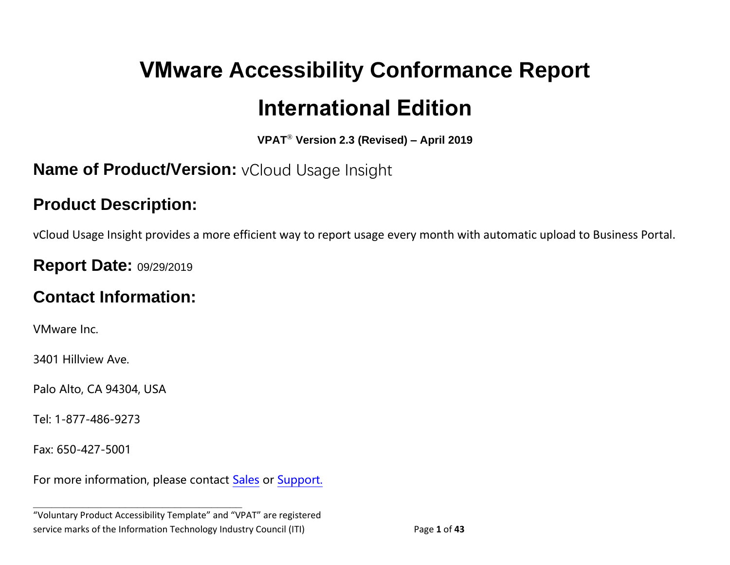# **VMware Accessibility Conformance Report International Edition**

**VPAT**® **Version 2.3 (Revised) – April 2019**

## **Name of Product/Version:** vCloud Usage Insight

## **Product Description:**

vCloud Usage Insight provides a more efficient way to report usage every month with automatic upload to Business Portal.

## **Report Date: 09/29/2019**

# **Contact Information:**

VMware Inc.

3401 Hillview Ave.

Palo Alto, CA 94304, USA

Tel: 1-877-486-9273

Fax: 650-427-5001

For more information, please contact [Sales](https://www.vmware.com/company/contact_sales.html) or [Support.](https://www.vmware.com/support/contacts.html)

**\_\_\_\_\_\_\_\_\_\_\_\_\_\_\_\_\_\_\_\_\_\_\_\_\_\_\_\_\_\_\_\_\_\_**

<sup>&</sup>quot;Voluntary Product Accessibility Template" and "VPAT" are registered service marks of the Information Technology Industry Council (ITI) Page **1** of **43**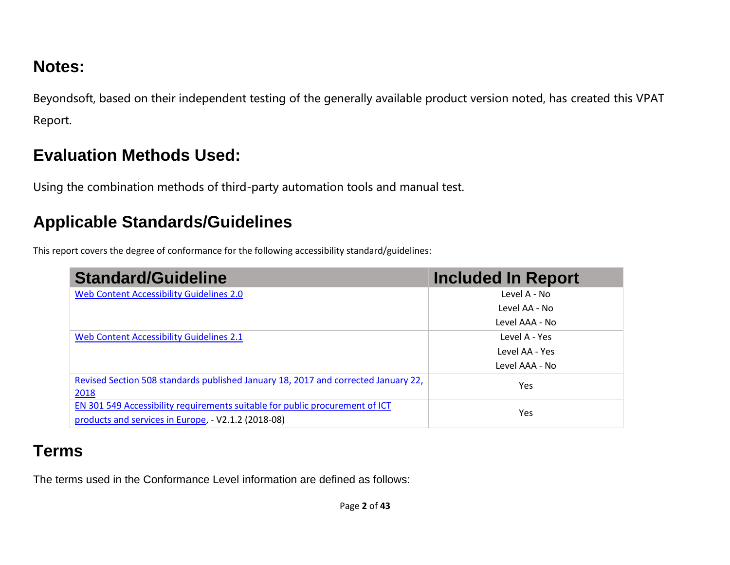# **Notes:**

Beyondsoft, based on their independent testing of the generally available product version noted, has created this VPAT Report.

# **Evaluation Methods Used:**

Using the combination methods of third-party automation tools and manual test.

# **Applicable Standards/Guidelines**

This report covers the degree of conformance for the following accessibility standard/guidelines:

| <b>Standard/Guideline</b>                                                          | <b>Included In Report</b> |
|------------------------------------------------------------------------------------|---------------------------|
| Web Content Accessibility Guidelines 2.0                                           | Level A - No              |
|                                                                                    | Level AA - No             |
|                                                                                    | Level AAA - No            |
| Web Content Accessibility Guidelines 2.1                                           | Level A - Yes             |
|                                                                                    | Level AA - Yes            |
|                                                                                    | Level AAA - No            |
| Revised Section 508 standards published January 18, 2017 and corrected January 22, | Yes                       |
| 2018                                                                               |                           |
| EN 301 549 Accessibility requirements suitable for public procurement of ICT       | Yes                       |
| products and services in Europe, - V2.1.2 (2018-08)                                |                           |

# **Terms**

The terms used in the Conformance Level information are defined as follows: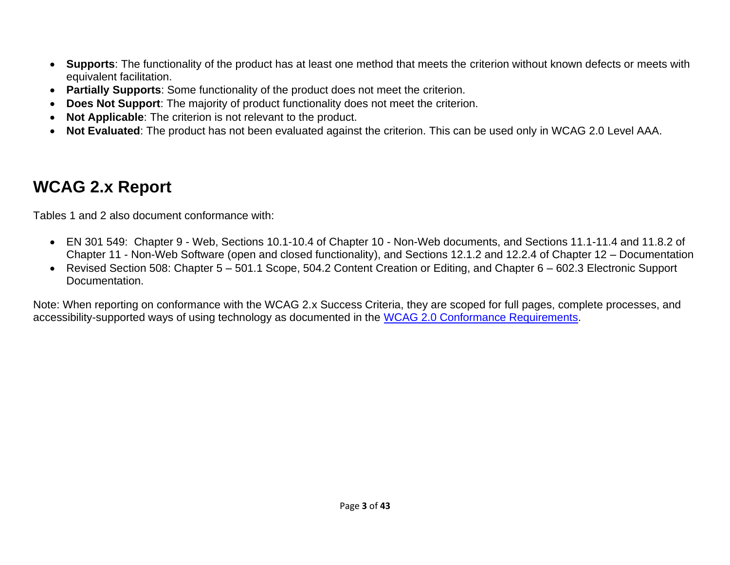- **Supports**: The functionality of the product has at least one method that meets the criterion without known defects or meets with equivalent facilitation.
- **Partially Supports**: Some functionality of the product does not meet the criterion.
- **Does Not Support**: The majority of product functionality does not meet the criterion.
- **Not Applicable**: The criterion is not relevant to the product.
- **Not Evaluated**: The product has not been evaluated against the criterion. This can be used only in WCAG 2.0 Level AAA.

## <span id="page-2-0"></span>**WCAG 2.x Report**

Tables 1 and 2 also document conformance with:

- EN 301 549: Chapter 9 Web, Sections 10.1-10.4 of Chapter 10 Non-Web documents, and Sections 11.1-11.4 and 11.8.2 of Chapter 11 - Non-Web Software (open and closed functionality), and Sections 12.1.2 and 12.2.4 of Chapter 12 – Documentation
- Revised Section 508: Chapter 5 501.1 Scope, 504.2 Content Creation or Editing, and Chapter 6 602.3 Electronic Support Documentation.

Note: When reporting on conformance with the WCAG 2.x Success Criteria, they are scoped for full pages, complete processes, and accessibility-supported ways of using technology as documented in the [WCAG 2.0 Conformance Requirements.](https://www.w3.org/TR/WCAG20/#conformance-reqs)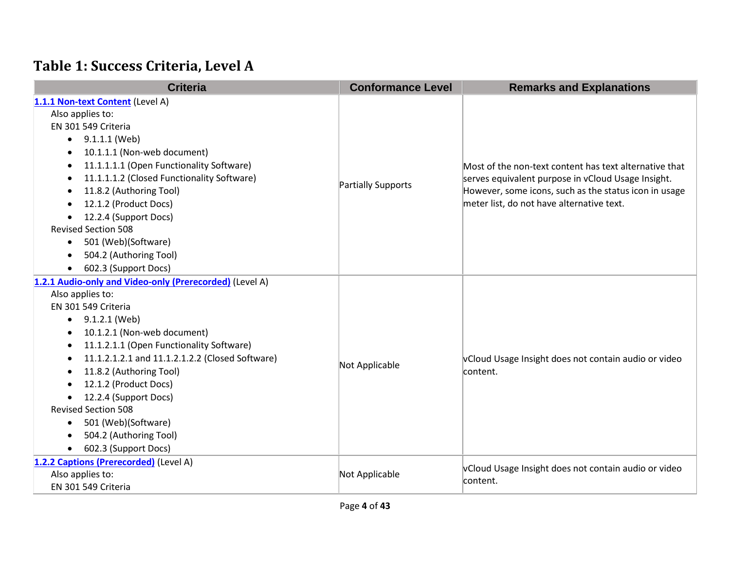# **Table 1: Success Criteria, Level A**

| <b>Criteria</b>                                         | <b>Conformance Level</b>  | <b>Remarks and Explanations</b>                                  |
|---------------------------------------------------------|---------------------------|------------------------------------------------------------------|
| 1.1.1 Non-text Content (Level A)                        |                           |                                                                  |
| Also applies to:                                        |                           |                                                                  |
| EN 301 549 Criteria                                     |                           | Most of the non-text content has text alternative that           |
| $\bullet$ 9.1.1.1 (Web)                                 |                           |                                                                  |
| 10.1.1.1 (Non-web document)                             |                           |                                                                  |
| 11.1.1.1.1 (Open Functionality Software)<br>$\bullet$   |                           |                                                                  |
| 11.1.1.1.2 (Closed Functionality Software)<br>$\bullet$ | <b>Partially Supports</b> | serves equivalent purpose in vCloud Usage Insight.               |
| 11.8.2 (Authoring Tool)                                 |                           | However, some icons, such as the status icon in usage            |
| 12.1.2 (Product Docs)                                   |                           | meter list, do not have alternative text.                        |
| 12.2.4 (Support Docs)                                   |                           |                                                                  |
| <b>Revised Section 508</b>                              |                           |                                                                  |
| 501 (Web)(Software)<br>$\bullet$                        |                           |                                                                  |
| 504.2 (Authoring Tool)                                  |                           |                                                                  |
| 602.3 (Support Docs)                                    |                           |                                                                  |
| 1.2.1 Audio-only and Video-only (Prerecorded) (Level A) |                           |                                                                  |
| Also applies to:                                        |                           | vCloud Usage Insight does not contain audio or video<br>content. |
| EN 301 549 Criteria                                     |                           |                                                                  |
| 9.1.2.1 (Web)<br>$\bullet$                              |                           |                                                                  |
| 10.1.2.1 (Non-web document)                             |                           |                                                                  |
| 11.1.2.1.1 (Open Functionality Software)<br>٠           |                           |                                                                  |
| 11.1.2.1.2.1 and 11.1.2.1.2.2 (Closed Software)<br>٠    | Not Applicable            |                                                                  |
| 11.8.2 (Authoring Tool)                                 |                           |                                                                  |
| 12.1.2 (Product Docs)                                   |                           |                                                                  |
| 12.2.4 (Support Docs)                                   |                           |                                                                  |
| <b>Revised Section 508</b>                              |                           |                                                                  |
| 501 (Web)(Software)<br>$\bullet$                        |                           |                                                                  |
| 504.2 (Authoring Tool)                                  |                           |                                                                  |
| 602.3 (Support Docs)<br>$\bullet$                       |                           |                                                                  |
| 1.2.2 Captions (Prerecorded) (Level A)                  |                           | vCloud Usage Insight does not contain audio or video             |
| Also applies to:                                        | Not Applicable            | content.                                                         |
| EN 301 549 Criteria                                     |                           |                                                                  |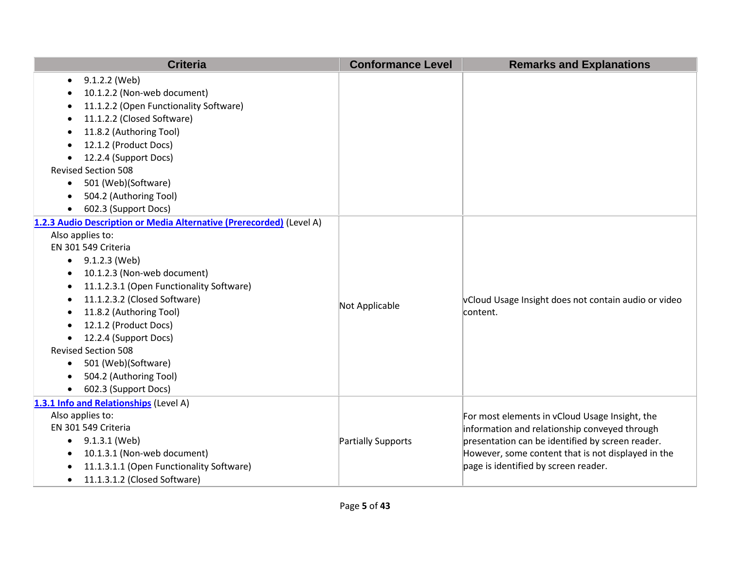| <b>Criteria</b>                                                                                                                                                                                                                                                                                                                                                                                                                                                          | <b>Conformance Level</b> | <b>Remarks and Explanations</b>                                                                                                                                                                                                                   |
|--------------------------------------------------------------------------------------------------------------------------------------------------------------------------------------------------------------------------------------------------------------------------------------------------------------------------------------------------------------------------------------------------------------------------------------------------------------------------|--------------------------|---------------------------------------------------------------------------------------------------------------------------------------------------------------------------------------------------------------------------------------------------|
| 9.1.2.2 (Web)<br>$\bullet$<br>10.1.2.2 (Non-web document)<br>11.1.2.2 (Open Functionality Software)<br>11.1.2.2 (Closed Software)<br>11.8.2 (Authoring Tool)<br>12.1.2 (Product Docs)<br>$\bullet$<br>12.2.4 (Support Docs)<br><b>Revised Section 508</b><br>501 (Web)(Software)<br>$\bullet$                                                                                                                                                                            |                          |                                                                                                                                                                                                                                                   |
| 504.2 (Authoring Tool)<br>602.3 (Support Docs)<br>$\bullet$                                                                                                                                                                                                                                                                                                                                                                                                              |                          |                                                                                                                                                                                                                                                   |
| 1.2.3 Audio Description or Media Alternative (Prerecorded) (Level A)<br>Also applies to:<br>EN 301 549 Criteria<br>$\bullet$ 9.1.2.3 (Web)<br>10.1.2.3 (Non-web document)<br>11.1.2.3.1 (Open Functionality Software)<br>٠<br>11.1.2.3.2 (Closed Software)<br>11.8.2 (Authoring Tool)<br>$\bullet$<br>12.1.2 (Product Docs)<br>12.2.4 (Support Docs)<br><b>Revised Section 508</b><br>501 (Web)(Software)<br>$\bullet$<br>504.2 (Authoring Tool)<br>602.3 (Support Docs) | Not Applicable           | vCloud Usage Insight does not contain audio or video<br>content.                                                                                                                                                                                  |
| 1.3.1 Info and Relationships (Level A)<br>Also applies to:<br>EN 301 549 Criteria<br>9.1.3.1 (Web)<br>$\bullet$<br>10.1.3.1 (Non-web document)<br>11.1.3.1.1 (Open Functionality Software)<br>11.1.3.1.2 (Closed Software)<br>$\bullet$                                                                                                                                                                                                                                  | Partially Supports       | For most elements in vCloud Usage Insight, the<br>information and relationship conveyed through<br>presentation can be identified by screen reader.<br>However, some content that is not displayed in the<br>page is identified by screen reader. |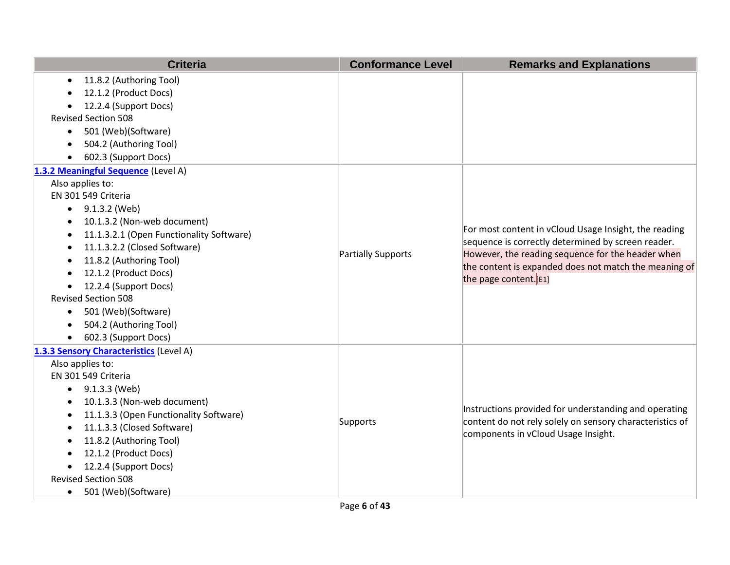| <b>Criteria</b>                                     | <b>Conformance Level</b> | <b>Remarks and Explanations</b>                                                                             |
|-----------------------------------------------------|--------------------------|-------------------------------------------------------------------------------------------------------------|
| 11.8.2 (Authoring Tool)<br>$\bullet$                |                          |                                                                                                             |
| 12.1.2 (Product Docs)                               |                          |                                                                                                             |
| 12.2.4 (Support Docs)                               |                          |                                                                                                             |
| <b>Revised Section 508</b>                          |                          |                                                                                                             |
| 501 (Web)(Software)<br>$\bullet$                    |                          |                                                                                                             |
| 504.2 (Authoring Tool)                              |                          |                                                                                                             |
| 602.3 (Support Docs)                                |                          |                                                                                                             |
| 1.3.2 Meaningful Sequence (Level A)                 |                          |                                                                                                             |
| Also applies to:                                    |                          |                                                                                                             |
| EN 301 549 Criteria                                 |                          |                                                                                                             |
| 9.1.3.2 (Web)<br>$\bullet$                          |                          |                                                                                                             |
| 10.1.3.2 (Non-web document)<br>$\bullet$            |                          |                                                                                                             |
| 11.1.3.2.1 (Open Functionality Software)<br>٠       |                          | For most content in vCloud Usage Insight, the reading<br>sequence is correctly determined by screen reader. |
| 11.1.3.2.2 (Closed Software)                        | Partially Supports       | However, the reading sequence for the header when                                                           |
| 11.8.2 (Authoring Tool)<br>$\bullet$                |                          | the content is expanded does not match the meaning of                                                       |
| 12.1.2 (Product Docs)                               |                          | the page content. [E1]                                                                                      |
| 12.2.4 (Support Docs)<br>$\bullet$                  |                          |                                                                                                             |
| <b>Revised Section 508</b>                          |                          |                                                                                                             |
| 501 (Web)(Software)<br>$\bullet$                    |                          |                                                                                                             |
| 504.2 (Authoring Tool)                              |                          |                                                                                                             |
| 602.3 (Support Docs)<br>$\bullet$                   |                          |                                                                                                             |
| 1.3.3 Sensory Characteristics (Level A)             |                          |                                                                                                             |
| Also applies to:                                    |                          |                                                                                                             |
| EN 301 549 Criteria                                 |                          |                                                                                                             |
| 9.1.3.3 (Web)<br>$\bullet$                          |                          |                                                                                                             |
| 10.1.3.3 (Non-web document)                         |                          | Instructions provided for understanding and operating                                                       |
| 11.1.3.3 (Open Functionality Software)<br>$\bullet$ | Supports                 | content do not rely solely on sensory characteristics of                                                    |
| 11.1.3.3 (Closed Software)<br>$\bullet$             |                          | components in vCloud Usage Insight.                                                                         |
| 11.8.2 (Authoring Tool)                             |                          |                                                                                                             |
| 12.1.2 (Product Docs)                               |                          |                                                                                                             |
| 12.2.4 (Support Docs)                               |                          |                                                                                                             |
| <b>Revised Section 508</b>                          |                          |                                                                                                             |
| 501 (Web)(Software)<br>$\bullet$                    |                          |                                                                                                             |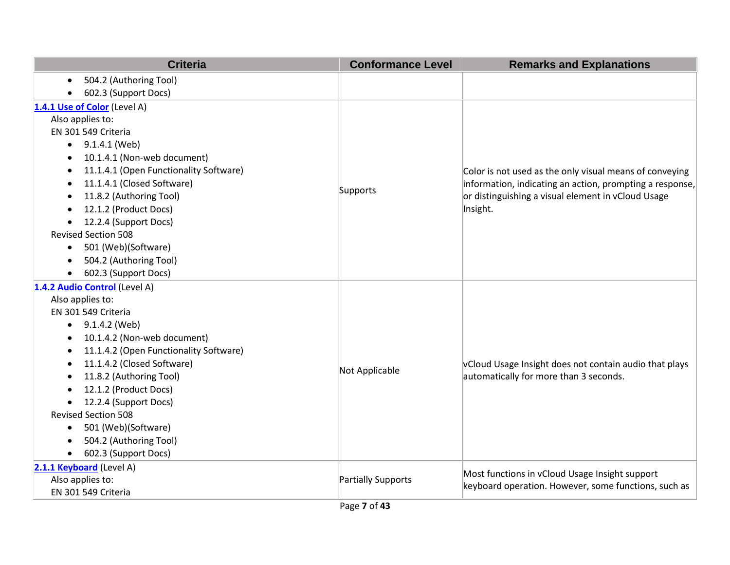| <b>Criteria</b>                                                  | <b>Conformance Level</b>  | <b>Remarks and Explanations</b>                              |
|------------------------------------------------------------------|---------------------------|--------------------------------------------------------------|
| 504.2 (Authoring Tool)<br>$\bullet$                              |                           |                                                              |
| 602.3 (Support Docs)                                             |                           |                                                              |
| 1.4.1 Use of Color (Level A)                                     |                           |                                                              |
| Also applies to:                                                 |                           |                                                              |
| EN 301 549 Criteria                                              |                           |                                                              |
| 9.1.4.1 (Web)<br>$\bullet$                                       |                           |                                                              |
| 10.1.4.1 (Non-web document)<br>٠                                 |                           |                                                              |
| 11.1.4.1 (Open Functionality Software)<br>٠                      |                           | Color is not used as the only visual means of conveying      |
| 11.1.4.1 (Closed Software)                                       | Supports                  | $ $ information, indicating an action, prompting a response, |
| 11.8.2 (Authoring Tool)<br>$\bullet$                             |                           | or distinguishing a visual element in vCloud Usage           |
| 12.1.2 (Product Docs)                                            |                           | Insight.                                                     |
| 12.2.4 (Support Docs)                                            |                           |                                                              |
| <b>Revised Section 508</b>                                       |                           |                                                              |
| 501 (Web)(Software)<br>٠                                         |                           |                                                              |
| 504.2 (Authoring Tool)<br>$\bullet$                              |                           |                                                              |
| 602.3 (Support Docs)<br>$\bullet$                                |                           |                                                              |
| 1.4.2 Audio Control (Level A)                                    |                           |                                                              |
| Also applies to:                                                 |                           |                                                              |
| EN 301 549 Criteria                                              |                           |                                                              |
| 9.1.4.2 (Web)<br>$\bullet$                                       |                           |                                                              |
| 10.1.4.2 (Non-web document)<br>$\bullet$                         |                           |                                                              |
| 11.1.4.2 (Open Functionality Software)                           |                           |                                                              |
| 11.1.4.2 (Closed Software)<br>$\bullet$                          | Not Applicable            | vCloud Usage Insight does not contain audio that plays       |
| 11.8.2 (Authoring Tool)                                          |                           | automatically for more than 3 seconds.                       |
| 12.1.2 (Product Docs)                                            |                           |                                                              |
| 12.2.4 (Support Docs)<br>$\bullet$<br><b>Revised Section 508</b> |                           |                                                              |
|                                                                  |                           |                                                              |
| 501 (Web)(Software)<br>٠<br>504.2 (Authoring Tool)               |                           |                                                              |
| 602.3 (Support Docs)                                             |                           |                                                              |
| $\bullet$                                                        |                           |                                                              |
| 2.1.1 Keyboard (Level A)<br>Also applies to:                     | <b>Partially Supports</b> | Most functions in vCloud Usage Insight support               |
| EN 301 549 Criteria                                              |                           | keyboard operation. However, some functions, such as         |
|                                                                  |                           |                                                              |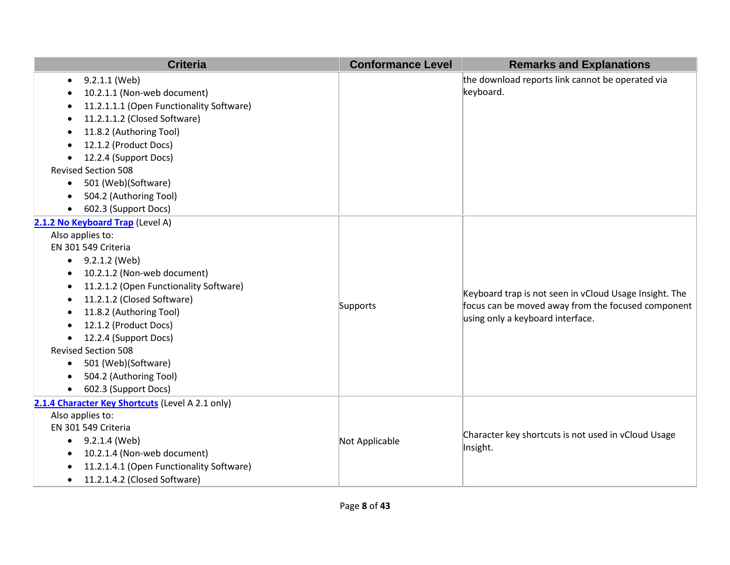|           | <b>Criteria</b>                                  | <b>Conformance Level</b> | <b>Remarks and Explanations</b>                        |
|-----------|--------------------------------------------------|--------------------------|--------------------------------------------------------|
| $\bullet$ | 9.2.1.1 (Web)                                    |                          | the download reports link cannot be operated via       |
| $\bullet$ | 10.2.1.1 (Non-web document)                      |                          | keyboard.                                              |
| ٠         | 11.2.1.1.1 (Open Functionality Software)         |                          |                                                        |
| $\bullet$ | 11.2.1.1.2 (Closed Software)                     |                          |                                                        |
| $\bullet$ | 11.8.2 (Authoring Tool)                          |                          |                                                        |
| $\bullet$ | 12.1.2 (Product Docs)                            |                          |                                                        |
| $\bullet$ | 12.2.4 (Support Docs)                            |                          |                                                        |
|           | <b>Revised Section 508</b>                       |                          |                                                        |
| $\bullet$ | 501 (Web)(Software)                              |                          |                                                        |
| $\bullet$ | 504.2 (Authoring Tool)                           |                          |                                                        |
| $\bullet$ | 602.3 (Support Docs)                             |                          |                                                        |
|           | 2.1.2 No Keyboard Trap (Level A)                 |                          |                                                        |
|           | Also applies to:                                 |                          |                                                        |
|           | EN 301 549 Criteria                              |                          |                                                        |
| $\bullet$ | 9.2.1.2 (Web)                                    |                          |                                                        |
| $\bullet$ | 10.2.1.2 (Non-web document)                      |                          |                                                        |
| $\bullet$ | 11.2.1.2 (Open Functionality Software)           |                          | Keyboard trap is not seen in vCloud Usage Insight. The |
| $\bullet$ | 11.2.1.2 (Closed Software)                       | Supports                 | focus can be moved away from the focused component     |
| $\bullet$ | 11.8.2 (Authoring Tool)                          |                          | using only a keyboard interface.                       |
| $\bullet$ | 12.1.2 (Product Docs)                            |                          |                                                        |
|           | 12.2.4 (Support Docs)                            |                          |                                                        |
|           | <b>Revised Section 508</b>                       |                          |                                                        |
| $\bullet$ | 501 (Web)(Software)                              |                          |                                                        |
| $\bullet$ | 504.2 (Authoring Tool)                           |                          |                                                        |
| $\bullet$ | 602.3 (Support Docs)                             |                          |                                                        |
|           | 2.1.4 Character Key Shortcuts (Level A 2.1 only) |                          |                                                        |
|           | Also applies to:                                 |                          |                                                        |
|           | EN 301 549 Criteria                              |                          | Character key shortcuts is not used in vCloud Usage    |
| $\bullet$ | 9.2.1.4 (Web)                                    | Not Applicable           | Insight.                                               |
| $\bullet$ | 10.2.1.4 (Non-web document)                      |                          |                                                        |
| $\bullet$ | 11.2.1.4.1 (Open Functionality Software)         |                          |                                                        |
| $\bullet$ | 11.2.1.4.2 (Closed Software)                     |                          |                                                        |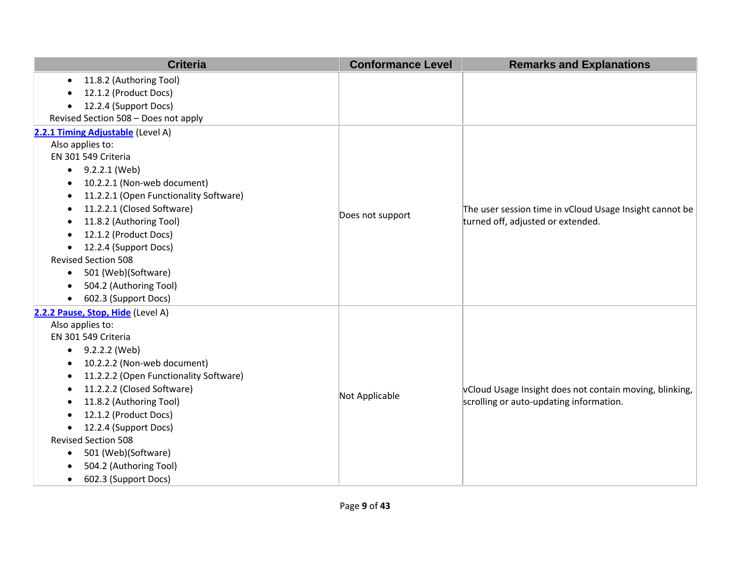| <b>Criteria</b>                                     | <b>Conformance Level</b> | <b>Remarks and Explanations</b>                         |
|-----------------------------------------------------|--------------------------|---------------------------------------------------------|
| 11.8.2 (Authoring Tool)<br>$\bullet$                |                          |                                                         |
| 12.1.2 (Product Docs)                               |                          |                                                         |
| 12.2.4 (Support Docs)<br>$\bullet$                  |                          |                                                         |
| Revised Section 508 - Does not apply                |                          |                                                         |
| 2.2.1 Timing Adjustable (Level A)                   |                          |                                                         |
| Also applies to:                                    |                          |                                                         |
| EN 301 549 Criteria                                 |                          |                                                         |
| 9.2.2.1 (Web)<br>$\bullet$                          |                          |                                                         |
| 10.2.2.1 (Non-web document)                         |                          |                                                         |
| 11.2.2.1 (Open Functionality Software)<br>$\bullet$ |                          |                                                         |
| 11.2.2.1 (Closed Software)<br>٠                     | Does not support         | The user session time in vCloud Usage Insight cannot be |
| 11.8.2 (Authoring Tool)                             |                          | turned off, adjusted or extended.                       |
| 12.1.2 (Product Docs)                               |                          |                                                         |
| 12.2.4 (Support Docs)<br>$\bullet$                  |                          |                                                         |
| <b>Revised Section 508</b>                          |                          |                                                         |
| 501 (Web)(Software)<br>$\bullet$                    |                          |                                                         |
| 504.2 (Authoring Tool)<br>$\bullet$                 |                          |                                                         |
| 602.3 (Support Docs)<br>$\bullet$                   |                          |                                                         |
| 2.2.2 Pause, Stop, Hide (Level A)                   |                          |                                                         |
| Also applies to:                                    |                          |                                                         |
| EN 301 549 Criteria                                 |                          |                                                         |
| 9.2.2.2 (Web)<br>$\bullet$                          |                          |                                                         |
| 10.2.2.2 (Non-web document)<br>$\bullet$            |                          |                                                         |
| 11.2.2.2 (Open Functionality Software)<br>٠         |                          |                                                         |
| 11.2.2.2 (Closed Software)<br>٠                     | Not Applicable           | vCloud Usage Insight does not contain moving, blinking, |
| 11.8.2 (Authoring Tool)<br>$\bullet$                |                          | scrolling or auto-updating information.                 |
| 12.1.2 (Product Docs)<br>$\bullet$                  |                          |                                                         |
| 12.2.4 (Support Docs)<br>$\bullet$                  |                          |                                                         |
| <b>Revised Section 508</b>                          |                          |                                                         |
| 501 (Web)(Software)<br>٠                            |                          |                                                         |
| 504.2 (Authoring Tool)                              |                          |                                                         |
| 602.3 (Support Docs)<br>$\bullet$                   |                          |                                                         |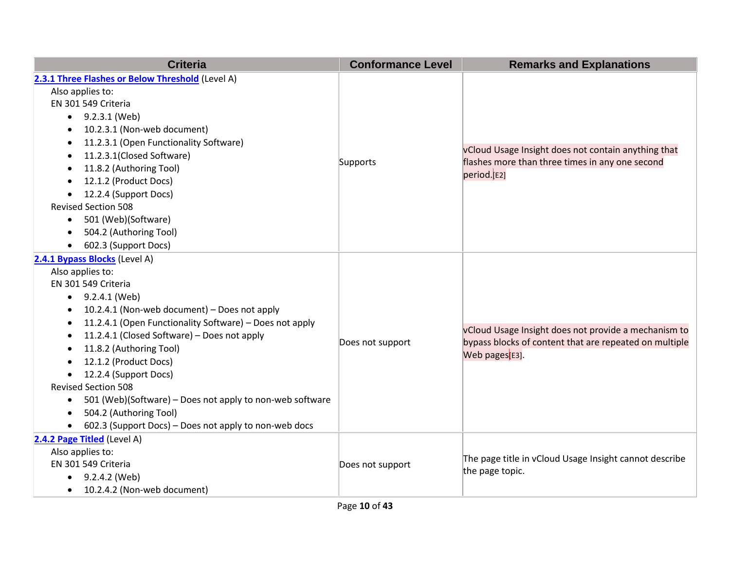| <b>Criteria</b>                                                       | <b>Conformance Level</b> | <b>Remarks and Explanations</b>                        |
|-----------------------------------------------------------------------|--------------------------|--------------------------------------------------------|
| 2.3.1 Three Flashes or Below Threshold (Level A)                      |                          |                                                        |
| Also applies to:                                                      |                          |                                                        |
| EN 301 549 Criteria                                                   |                          |                                                        |
| 9.2.3.1 (Web)<br>$\bullet$                                            |                          | vCloud Usage Insight does not contain anything that    |
| 10.2.3.1 (Non-web document)<br>$\bullet$                              |                          |                                                        |
| 11.2.3.1 (Open Functionality Software)<br>$\bullet$                   |                          |                                                        |
| 11.2.3.1(Closed Software)<br>٠                                        |                          |                                                        |
| 11.8.2 (Authoring Tool)<br>$\bullet$                                  | Supports                 | flashes more than three times in any one second        |
| 12.1.2 (Product Docs)<br>$\bullet$                                    |                          | period.[E2]                                            |
| 12.2.4 (Support Docs)<br>$\bullet$                                    |                          |                                                        |
| <b>Revised Section 508</b>                                            |                          |                                                        |
| 501 (Web)(Software)<br>$\bullet$                                      |                          |                                                        |
| 504.2 (Authoring Tool)<br>$\bullet$                                   |                          |                                                        |
| 602.3 (Support Docs)<br>$\bullet$                                     |                          |                                                        |
| 2.4.1 Bypass Blocks (Level A)                                         |                          |                                                        |
| Also applies to:                                                      |                          | vCloud Usage Insight does not provide a mechanism to   |
| EN 301 549 Criteria                                                   | Does not support         |                                                        |
| 9.2.4.1 (Web)<br>$\bullet$                                            |                          |                                                        |
| 10.2.4.1 (Non-web document) - Does not apply<br>$\bullet$             |                          |                                                        |
| 11.2.4.1 (Open Functionality Software) - Does not apply<br>$\bullet$  |                          |                                                        |
| 11.2.4.1 (Closed Software) - Does not apply<br>$\bullet$              |                          | bypass blocks of content that are repeated on multiple |
| 11.8.2 (Authoring Tool)<br>$\bullet$                                  |                          | Web pages <sup>[E3]</sup> .                            |
| 12.1.2 (Product Docs)<br>$\bullet$                                    |                          |                                                        |
| 12.2.4 (Support Docs)<br>$\bullet$                                    |                          |                                                        |
| <b>Revised Section 508</b>                                            |                          |                                                        |
| 501 (Web)(Software) – Does not apply to non-web software<br>$\bullet$ |                          |                                                        |
| 504.2 (Authoring Tool)<br>$\bullet$                                   |                          |                                                        |
| 602.3 (Support Docs) - Does not apply to non-web docs<br>$\bullet$    |                          |                                                        |
| 2.4.2 Page Titled (Level A)                                           |                          |                                                        |
| Also applies to:                                                      |                          | The page title in vCloud Usage Insight cannot describe |
| EN 301 549 Criteria                                                   | Does not support         | the page topic.                                        |
| 9.2.4.2 (Web)<br>$\bullet$                                            |                          |                                                        |
| 10.2.4.2 (Non-web document)<br>$\bullet$                              |                          |                                                        |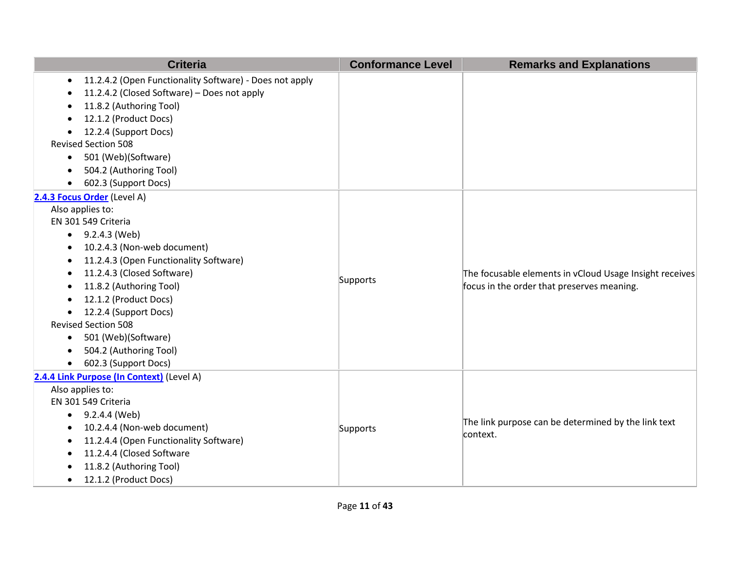| <b>Criteria</b>                                                      | <b>Conformance Level</b> | <b>Remarks and Explanations</b>                                                                       |
|----------------------------------------------------------------------|--------------------------|-------------------------------------------------------------------------------------------------------|
| 11.2.4.2 (Open Functionality Software) - Does not apply<br>$\bullet$ |                          |                                                                                                       |
| 11.2.4.2 (Closed Software) - Does not apply                          |                          |                                                                                                       |
| 11.8.2 (Authoring Tool)                                              |                          |                                                                                                       |
| 12.1.2 (Product Docs)                                                |                          |                                                                                                       |
| 12.2.4 (Support Docs)<br>$\bullet$                                   |                          |                                                                                                       |
| <b>Revised Section 508</b>                                           |                          |                                                                                                       |
| 501 (Web)(Software)<br>$\bullet$                                     |                          |                                                                                                       |
| 504.2 (Authoring Tool)                                               |                          |                                                                                                       |
| 602.3 (Support Docs)<br>$\bullet$                                    |                          |                                                                                                       |
| 2.4.3 Focus Order (Level A)                                          |                          |                                                                                                       |
| Also applies to:                                                     |                          |                                                                                                       |
| EN 301 549 Criteria                                                  |                          |                                                                                                       |
| 9.2.4.3 (Web)                                                        |                          | The focusable elements in vCloud Usage Insight receives<br>focus in the order that preserves meaning. |
| 10.2.4.3 (Non-web document)                                          |                          |                                                                                                       |
| 11.2.4.3 (Open Functionality Software)<br>$\bullet$                  |                          |                                                                                                       |
| 11.2.4.3 (Closed Software)                                           | Supports                 |                                                                                                       |
| 11.8.2 (Authoring Tool)<br>$\bullet$                                 |                          |                                                                                                       |
| 12.1.2 (Product Docs)<br>$\bullet$                                   |                          |                                                                                                       |
| 12.2.4 (Support Docs)<br>$\bullet$                                   |                          |                                                                                                       |
| <b>Revised Section 508</b>                                           |                          |                                                                                                       |
| 501 (Web)(Software)<br>$\bullet$                                     |                          |                                                                                                       |
| 504.2 (Authoring Tool)                                               |                          |                                                                                                       |
| 602.3 (Support Docs)<br>$\bullet$                                    |                          |                                                                                                       |
| 2.4.4 Link Purpose (In Context) (Level A)                            |                          |                                                                                                       |
| Also applies to:                                                     |                          |                                                                                                       |
| EN 301 549 Criteria                                                  |                          |                                                                                                       |
| 9.2.4.4 (Web)<br>$\bullet$                                           |                          | The link purpose can be determined by the link text                                                   |
| 10.2.4.4 (Non-web document)<br>$\bullet$                             | Supports                 | context.                                                                                              |
| 11.2.4.4 (Open Functionality Software)<br>$\bullet$                  |                          |                                                                                                       |
| 11.2.4.4 (Closed Software                                            |                          |                                                                                                       |
| 11.8.2 (Authoring Tool)                                              |                          |                                                                                                       |
| 12.1.2 (Product Docs)<br>$\bullet$                                   |                          |                                                                                                       |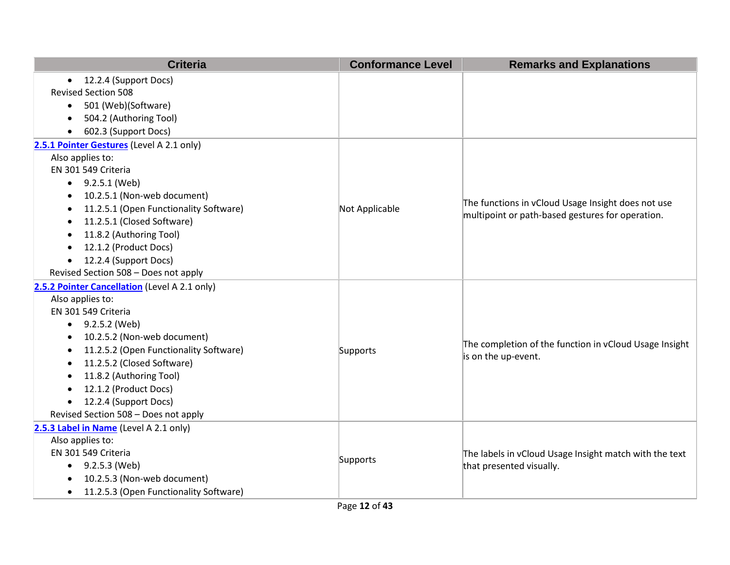| <b>Criteria</b>                                     | <b>Conformance Level</b> | <b>Remarks and Explanations</b>                                                                        |
|-----------------------------------------------------|--------------------------|--------------------------------------------------------------------------------------------------------|
| • 12.2.4 (Support Docs)                             |                          |                                                                                                        |
| <b>Revised Section 508</b>                          |                          |                                                                                                        |
| 501 (Web)(Software)<br>$\bullet$                    |                          |                                                                                                        |
| 504.2 (Authoring Tool)                              |                          |                                                                                                        |
| 602.3 (Support Docs)                                |                          |                                                                                                        |
| 2.5.1 Pointer Gestures (Level A 2.1 only)           |                          |                                                                                                        |
| Also applies to:                                    |                          |                                                                                                        |
| EN 301 549 Criteria                                 |                          |                                                                                                        |
| $\bullet$ 9.2.5.1 (Web)                             |                          |                                                                                                        |
| 10.2.5.1 (Non-web document)<br>$\bullet$            |                          |                                                                                                        |
| 11.2.5.1 (Open Functionality Software)              | Not Applicable           | The functions in vCloud Usage Insight does not use<br>multipoint or path-based gestures for operation. |
| 11.2.5.1 (Closed Software)                          |                          |                                                                                                        |
| 11.8.2 (Authoring Tool)                             |                          |                                                                                                        |
| 12.1.2 (Product Docs)<br>$\bullet$                  |                          |                                                                                                        |
| 12.2.4 (Support Docs)<br>$\bullet$                  |                          |                                                                                                        |
| Revised Section 508 - Does not apply                |                          |                                                                                                        |
| 2.5.2 Pointer Cancellation (Level A 2.1 only)       |                          |                                                                                                        |
| Also applies to:                                    |                          |                                                                                                        |
| EN 301 549 Criteria                                 |                          |                                                                                                        |
| $\bullet$ 9.2.5.2 (Web)                             | Supports                 | The completion of the function in vCloud Usage Insight<br>is on the up-event.                          |
| 10.2.5.2 (Non-web document)                         |                          |                                                                                                        |
| 11.2.5.2 (Open Functionality Software)              |                          |                                                                                                        |
| 11.2.5.2 (Closed Software)                          |                          |                                                                                                        |
| 11.8.2 (Authoring Tool)                             |                          |                                                                                                        |
| 12.1.2 (Product Docs)                               |                          |                                                                                                        |
| 12.2.4 (Support Docs)<br>$\bullet$                  |                          |                                                                                                        |
| Revised Section 508 - Does not apply                |                          |                                                                                                        |
| 2.5.3 Label in Name (Level A 2.1 only)              |                          |                                                                                                        |
| Also applies to:                                    |                          |                                                                                                        |
| EN 301 549 Criteria                                 | Supports                 | The labels in vCloud Usage Insight match with the text                                                 |
| 9.2.5.3 (Web)<br>$\bullet$                          |                          | that presented visually.                                                                               |
| 10.2.5.3 (Non-web document)                         |                          |                                                                                                        |
| 11.2.5.3 (Open Functionality Software)<br>$\bullet$ |                          |                                                                                                        |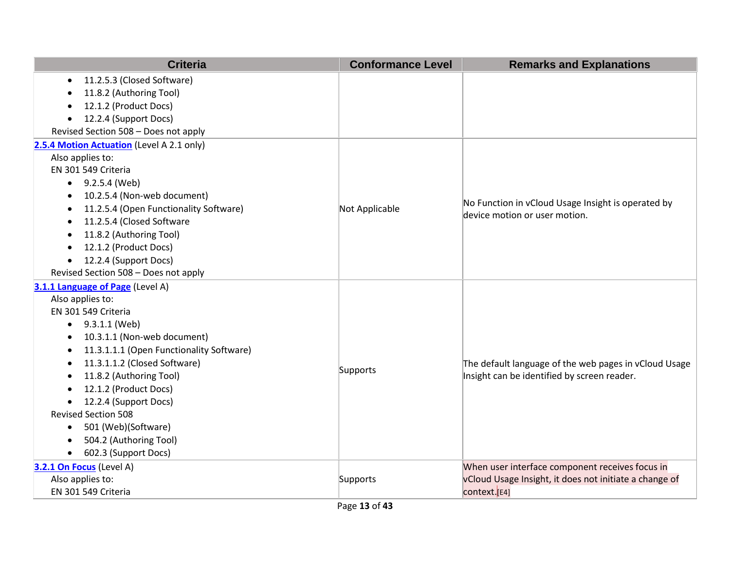| <b>Criteria</b>                                       | <b>Conformance Level</b> | <b>Remarks and Explanations</b>                        |
|-------------------------------------------------------|--------------------------|--------------------------------------------------------|
| 11.2.5.3 (Closed Software)<br>$\bullet$               |                          |                                                        |
| 11.8.2 (Authoring Tool)                               |                          |                                                        |
| 12.1.2 (Product Docs)<br>$\bullet$                    |                          |                                                        |
| 12.2.4 (Support Docs)<br>$\bullet$                    |                          |                                                        |
| Revised Section 508 - Does not apply                  |                          |                                                        |
| 2.5.4 Motion Actuation (Level A 2.1 only)             |                          |                                                        |
| Also applies to:                                      |                          |                                                        |
| EN 301 549 Criteria                                   |                          |                                                        |
| $\bullet$ 9.2.5.4 (Web)                               |                          |                                                        |
| 10.2.5.4 (Non-web document)<br>$\bullet$              |                          | No Function in vCloud Usage Insight is operated by     |
| 11.2.5.4 (Open Functionality Software)<br>$\bullet$   | Not Applicable           | device motion or user motion.                          |
| 11.2.5.4 (Closed Software                             |                          |                                                        |
| 11.8.2 (Authoring Tool)<br>$\bullet$                  |                          |                                                        |
| 12.1.2 (Product Docs)<br>$\bullet$                    |                          |                                                        |
| 12.2.4 (Support Docs)<br>$\bullet$                    |                          |                                                        |
| Revised Section 508 - Does not apply                  |                          |                                                        |
| 3.1.1 Language of Page (Level A)                      |                          |                                                        |
| Also applies to:                                      |                          |                                                        |
| EN 301 549 Criteria                                   |                          |                                                        |
| $\bullet$ 9.3.1.1 (Web)                               |                          |                                                        |
| 10.3.1.1 (Non-web document)<br>$\bullet$              |                          |                                                        |
| 11.3.1.1.1 (Open Functionality Software)<br>$\bullet$ |                          |                                                        |
| 11.3.1.1.2 (Closed Software)<br>$\bullet$             | Supports                 | The default language of the web pages in vCloud Usage  |
| 11.8.2 (Authoring Tool)<br>$\bullet$                  |                          | Insight can be identified by screen reader.            |
| 12.1.2 (Product Docs)<br>$\bullet$                    |                          |                                                        |
| 12.2.4 (Support Docs)<br>$\bullet$                    |                          |                                                        |
| <b>Revised Section 508</b>                            |                          |                                                        |
| 501 (Web)(Software)<br>$\bullet$                      |                          |                                                        |
| 504.2 (Authoring Tool)<br>$\bullet$                   |                          |                                                        |
| 602.3 (Support Docs)<br>$\bullet$                     |                          |                                                        |
| 3.2.1 On Focus (Level A)                              |                          | When user interface component receives focus in        |
| Also applies to:                                      | Supports                 | vCloud Usage Insight, it does not initiate a change of |
| EN 301 549 Criteria                                   |                          | context.[E4]                                           |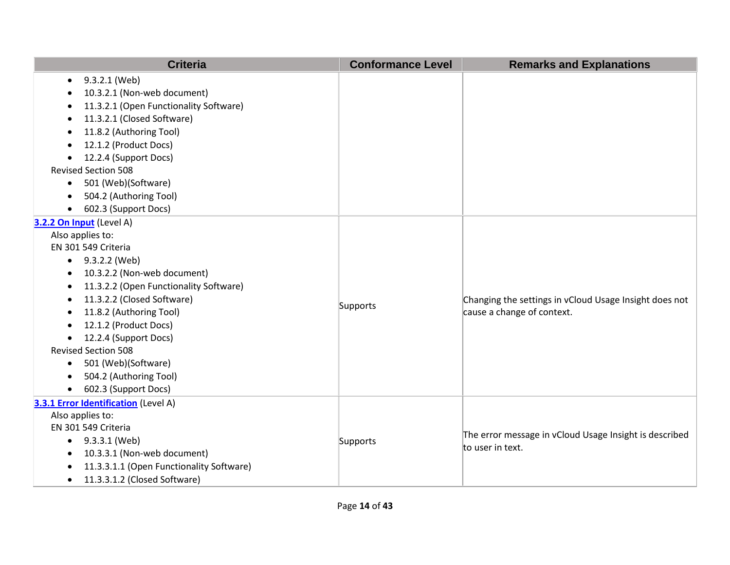| <b>Criteria</b>                                     | <b>Conformance Level</b> | <b>Remarks and Explanations</b>                        |
|-----------------------------------------------------|--------------------------|--------------------------------------------------------|
| 9.3.2.1 (Web)<br>$\bullet$                          |                          |                                                        |
| 10.3.2.1 (Non-web document)<br>$\bullet$            |                          |                                                        |
| 11.3.2.1 (Open Functionality Software)              |                          |                                                        |
| 11.3.2.1 (Closed Software)                          |                          |                                                        |
| 11.8.2 (Authoring Tool)                             |                          |                                                        |
| 12.1.2 (Product Docs)<br>$\bullet$                  |                          |                                                        |
| 12.2.4 (Support Docs)<br>$\bullet$                  |                          |                                                        |
| <b>Revised Section 508</b>                          |                          |                                                        |
| 501 (Web)(Software)<br>$\bullet$                    |                          |                                                        |
| 504.2 (Authoring Tool)                              |                          |                                                        |
| 602.3 (Support Docs)<br>$\bullet$                   |                          |                                                        |
| 3.2.2 On Input (Level A)                            |                          |                                                        |
| Also applies to:                                    |                          |                                                        |
| EN 301 549 Criteria                                 |                          |                                                        |
| $\bullet$ 9.3.2.2 (Web)                             |                          |                                                        |
| 10.3.2.2 (Non-web document)                         |                          |                                                        |
| 11.3.2.2 (Open Functionality Software)<br>$\bullet$ |                          |                                                        |
| 11.3.2.2 (Closed Software)<br>$\bullet$             | Supports                 | Changing the settings in vCloud Usage Insight does not |
| 11.8.2 (Authoring Tool)<br>$\bullet$                |                          | cause a change of context.                             |
| 12.1.2 (Product Docs)                               |                          |                                                        |
| 12.2.4 (Support Docs)<br>$\bullet$                  |                          |                                                        |
| <b>Revised Section 508</b>                          |                          |                                                        |
| 501 (Web)(Software)<br>$\bullet$                    |                          |                                                        |
| 504.2 (Authoring Tool)<br>$\bullet$                 |                          |                                                        |
| 602.3 (Support Docs)                                |                          |                                                        |
| 3.3.1 Error Identification (Level A)                |                          |                                                        |
| Also applies to:                                    |                          |                                                        |
| EN 301 549 Criteria                                 | Supports                 | The error message in vCloud Usage Insight is described |
| 9.3.3.1 (Web)                                       |                          | to user in text.                                       |
| 10.3.3.1 (Non-web document)                         |                          |                                                        |
| 11.3.3.1.1 (Open Functionality Software)            |                          |                                                        |
| 11.3.3.1.2 (Closed Software)<br>$\bullet$           |                          |                                                        |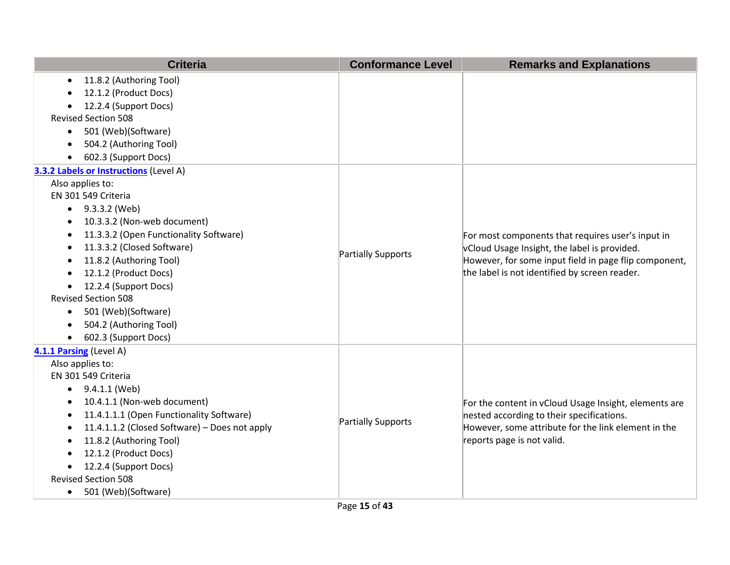| <b>Criteria</b>                                            | <b>Conformance Level</b>  | <b>Remarks and Explanations</b>                                                                                                                                                                             |
|------------------------------------------------------------|---------------------------|-------------------------------------------------------------------------------------------------------------------------------------------------------------------------------------------------------------|
| 11.8.2 (Authoring Tool)<br>$\bullet$                       |                           |                                                                                                                                                                                                             |
| 12.1.2 (Product Docs)                                      |                           |                                                                                                                                                                                                             |
| 12.2.4 (Support Docs)                                      |                           |                                                                                                                                                                                                             |
| <b>Revised Section 508</b>                                 |                           |                                                                                                                                                                                                             |
| 501 (Web)(Software)<br>$\bullet$                           |                           |                                                                                                                                                                                                             |
| 504.2 (Authoring Tool)                                     |                           |                                                                                                                                                                                                             |
| 602.3 (Support Docs)                                       |                           |                                                                                                                                                                                                             |
| 3.3.2 Labels or Instructions (Level A)                     |                           |                                                                                                                                                                                                             |
| Also applies to:                                           |                           |                                                                                                                                                                                                             |
| EN 301 549 Criteria                                        |                           |                                                                                                                                                                                                             |
| 9.3.3.2 (Web)<br>$\bullet$                                 |                           |                                                                                                                                                                                                             |
| 10.3.3.2 (Non-web document)<br>$\bullet$                   |                           | For most components that requires user's input in<br>vCloud Usage Insight, the label is provided.<br>However, for some input field in page flip component,<br>the label is not identified by screen reader. |
| 11.3.3.2 (Open Functionality Software)<br>$\bullet$        |                           |                                                                                                                                                                                                             |
| 11.3.3.2 (Closed Software)<br>$\bullet$                    |                           |                                                                                                                                                                                                             |
| 11.8.2 (Authoring Tool)<br>$\bullet$                       | <b>Partially Supports</b> |                                                                                                                                                                                                             |
| 12.1.2 (Product Docs)<br>$\bullet$                         |                           |                                                                                                                                                                                                             |
| 12.2.4 (Support Docs)                                      |                           |                                                                                                                                                                                                             |
| <b>Revised Section 508</b>                                 |                           |                                                                                                                                                                                                             |
| 501 (Web)(Software)<br>$\bullet$                           |                           |                                                                                                                                                                                                             |
| 504.2 (Authoring Tool)<br>$\bullet$                        |                           |                                                                                                                                                                                                             |
| 602.3 (Support Docs)<br>$\bullet$                          |                           |                                                                                                                                                                                                             |
| 4.1.1 Parsing (Level A)                                    |                           |                                                                                                                                                                                                             |
| Also applies to:                                           |                           |                                                                                                                                                                                                             |
| EN 301 549 Criteria                                        |                           |                                                                                                                                                                                                             |
| 9.4.1.1 (Web)<br>$\bullet$                                 |                           |                                                                                                                                                                                                             |
| 10.4.1.1 (Non-web document)<br>$\bullet$                   |                           | For the content in vCloud Usage Insight, elements are                                                                                                                                                       |
| 11.4.1.1.1 (Open Functionality Software)<br>$\bullet$      | <b>Partially Supports</b> | nested according to their specifications.                                                                                                                                                                   |
| 11.4.1.1.2 (Closed Software) - Does not apply<br>$\bullet$ |                           | However, some attribute for the link element in the                                                                                                                                                         |
| 11.8.2 (Authoring Tool)<br>$\bullet$                       |                           | reports page is not valid.                                                                                                                                                                                  |
| 12.1.2 (Product Docs)                                      |                           |                                                                                                                                                                                                             |
| 12.2.4 (Support Docs)<br>$\bullet$                         |                           |                                                                                                                                                                                                             |
| <b>Revised Section 508</b>                                 |                           |                                                                                                                                                                                                             |
| 501 (Web)(Software)<br>$\bullet$                           |                           |                                                                                                                                                                                                             |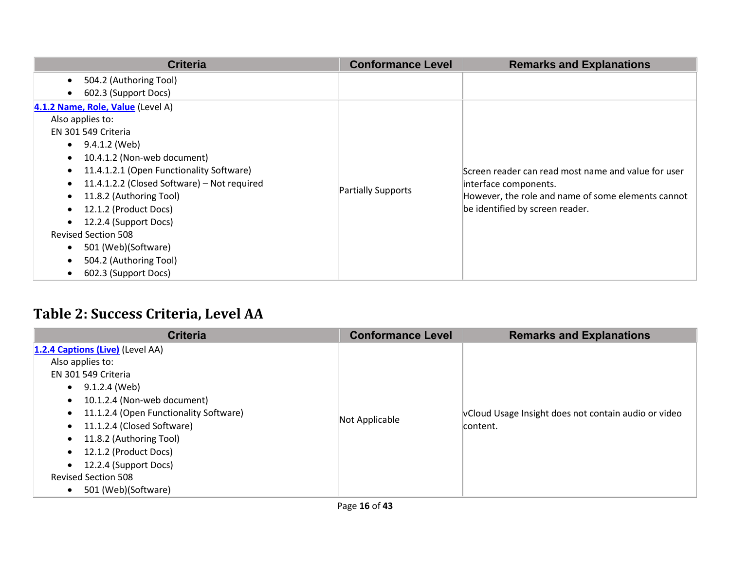| <b>Criteria</b>                                          | <b>Conformance Level</b> | <b>Remarks and Explanations</b>                     |
|----------------------------------------------------------|--------------------------|-----------------------------------------------------|
| 504.2 (Authoring Tool)<br>$\bullet$                      |                          |                                                     |
| 602.3 (Support Docs)<br>$\bullet$                        |                          |                                                     |
| 4.1.2 Name, Role, Value (Level A)                        |                          |                                                     |
| Also applies to:                                         |                          |                                                     |
| EN 301 549 Criteria                                      |                          |                                                     |
| 9.4.1.2 (Web)<br>$\bullet$                               |                          |                                                     |
| 10.4.1.2 (Non-web document)<br>$\bullet$                 |                          |                                                     |
| 11.4.1.2.1 (Open Functionality Software)<br>$\bullet$    |                          | Screen reader can read most name and value for user |
| 11.4.1.2.2 (Closed Software) - Not required<br>$\bullet$ |                          | interface components.                               |
| 11.8.2 (Authoring Tool)<br>$\bullet$                     | Partially Supports       | However, the role and name of some elements cannot  |
| 12.1.2 (Product Docs)                                    |                          | be identified by screen reader.                     |
| 12.2.4 (Support Docs)                                    |                          |                                                     |
| <b>Revised Section 508</b>                               |                          |                                                     |
| 501 (Web)(Software)<br>$\bullet$                         |                          |                                                     |
| 504.2 (Authoring Tool)<br>$\bullet$                      |                          |                                                     |
| 602.3 (Support Docs)                                     |                          |                                                     |

## **Table 2: Success Criteria, Level AA**

| <b>Criteria</b>                                                                                                                                                                                                                                                                                                                                    | <b>Conformance Level</b> | <b>Remarks and Explanations</b>                                  |
|----------------------------------------------------------------------------------------------------------------------------------------------------------------------------------------------------------------------------------------------------------------------------------------------------------------------------------------------------|--------------------------|------------------------------------------------------------------|
| 1.2.4 Captions (Live) (Level AA)<br>Also applies to:<br>EN 301 549 Criteria<br>9.1.2.4 (Web)<br>$\bullet$<br>10.1.2.4 (Non-web document)<br>11.1.2.4 (Open Functionality Software)<br>11.1.2.4 (Closed Software)<br>11.8.2 (Authoring Tool)<br>12.1.2 (Product Docs)<br>12.2.4 (Support Docs)<br><b>Revised Section 508</b><br>501 (Web)(Software) | Not Applicable           | vCloud Usage Insight does not contain audio or video<br>content. |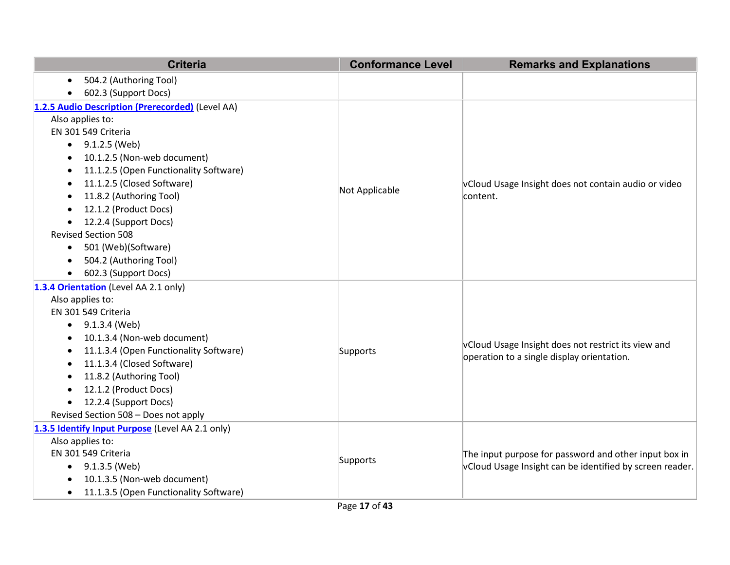| <b>Criteria</b>                                     | <b>Conformance Level</b> | <b>Remarks and Explanations</b>                          |
|-----------------------------------------------------|--------------------------|----------------------------------------------------------|
| 504.2 (Authoring Tool)<br>$\bullet$                 |                          |                                                          |
| 602.3 (Support Docs)<br>$\bullet$                   |                          |                                                          |
| 1.2.5 Audio Description (Prerecorded) (Level AA)    |                          |                                                          |
| Also applies to:                                    |                          |                                                          |
| EN 301 549 Criteria                                 |                          |                                                          |
| 9.1.2.5 (Web)                                       |                          |                                                          |
| 10.1.2.5 (Non-web document)<br>٠                    |                          |                                                          |
| 11.1.2.5 (Open Functionality Software)<br>$\bullet$ |                          |                                                          |
| 11.1.2.5 (Closed Software)<br>$\bullet$             |                          | vCloud Usage Insight does not contain audio or video     |
| 11.8.2 (Authoring Tool)                             | Not Applicable           | content.                                                 |
| 12.1.2 (Product Docs)<br>$\bullet$                  |                          |                                                          |
| 12.2.4 (Support Docs)                               |                          |                                                          |
| <b>Revised Section 508</b>                          |                          |                                                          |
| 501 (Web)(Software)<br>$\bullet$                    |                          |                                                          |
| 504.2 (Authoring Tool)<br>$\bullet$                 |                          |                                                          |
| 602.3 (Support Docs)<br>$\bullet$                   |                          |                                                          |
| 1.3.4 Orientation (Level AA 2.1 only)               |                          |                                                          |
| Also applies to:                                    |                          |                                                          |
| EN 301 549 Criteria                                 |                          | vCloud Usage Insight does not restrict its view and      |
| 9.1.3.4 (Web)<br>$\bullet$                          |                          |                                                          |
| 10.1.3.4 (Non-web document)<br>$\bullet$            |                          |                                                          |
| 11.1.3.4 (Open Functionality Software)              | Supports                 | operation to a single display orientation.               |
| 11.1.3.4 (Closed Software)                          |                          |                                                          |
| 11.8.2 (Authoring Tool)<br>٠                        |                          |                                                          |
| 12.1.2 (Product Docs)<br>$\bullet$                  |                          |                                                          |
| 12.2.4 (Support Docs)<br>$\bullet$                  |                          |                                                          |
| Revised Section 508 - Does not apply                |                          |                                                          |
| 1.3.5 Identify Input Purpose (Level AA 2.1 only)    |                          |                                                          |
| Also applies to:                                    |                          |                                                          |
| EN 301 549 Criteria                                 | Supports                 | The input purpose for password and other input box in    |
| 9.1.3.5 (Web)<br>$\bullet$                          |                          | vCloud Usage Insight can be identified by screen reader. |
| 10.1.3.5 (Non-web document)                         |                          |                                                          |
| 11.1.3.5 (Open Functionality Software)<br>$\bullet$ |                          |                                                          |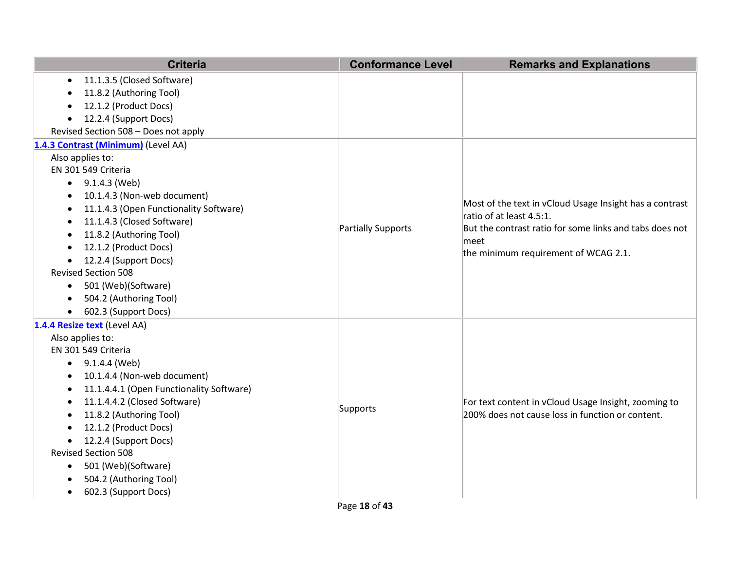| <b>Criteria</b>                                     | <b>Conformance Level</b>  | <b>Remarks and Explanations</b>                                                                         |
|-----------------------------------------------------|---------------------------|---------------------------------------------------------------------------------------------------------|
| 11.1.3.5 (Closed Software)<br>$\bullet$             |                           |                                                                                                         |
| 11.8.2 (Authoring Tool)                             |                           |                                                                                                         |
| 12.1.2 (Product Docs)<br>$\bullet$                  |                           |                                                                                                         |
| 12.2.4 (Support Docs)<br>$\bullet$                  |                           |                                                                                                         |
| Revised Section 508 - Does not apply                |                           |                                                                                                         |
| 1.4.3 Contrast (Minimum) (Level AA)                 |                           |                                                                                                         |
| Also applies to:                                    |                           |                                                                                                         |
| EN 301 549 Criteria                                 |                           |                                                                                                         |
| 9.1.4.3 (Web)<br>$\bullet$                          |                           |                                                                                                         |
| 10.1.4.3 (Non-web document)<br>$\bullet$            |                           |                                                                                                         |
| 11.1.4.3 (Open Functionality Software)<br>$\bullet$ |                           | Most of the text in vCloud Usage Insight has a contrast                                                 |
| 11.1.4.3 (Closed Software)<br>٠                     |                           | ratio of at least 4.5:1.                                                                                |
| 11.8.2 (Authoring Tool)<br>٠                        | <b>Partially Supports</b> | But the contrast ratio for some links and tabs does not<br>meet<br>the minimum requirement of WCAG 2.1. |
| 12.1.2 (Product Docs)<br>$\bullet$                  |                           |                                                                                                         |
| 12.2.4 (Support Docs)<br>$\bullet$                  |                           |                                                                                                         |
| <b>Revised Section 508</b>                          |                           |                                                                                                         |
| 501 (Web)(Software)<br>$\bullet$                    |                           |                                                                                                         |
| 504.2 (Authoring Tool)<br>$\bullet$                 |                           |                                                                                                         |
| 602.3 (Support Docs)<br>$\bullet$                   |                           |                                                                                                         |
| 1.4.4 Resize text (Level AA)                        |                           |                                                                                                         |
| Also applies to:                                    |                           |                                                                                                         |
| EN 301 549 Criteria                                 |                           |                                                                                                         |
| $\bullet$ 9.1.4.4 (Web)                             |                           |                                                                                                         |
| 10.1.4.4 (Non-web document)<br>$\bullet$            |                           |                                                                                                         |
| 11.1.4.4.1 (Open Functionality Software)            |                           |                                                                                                         |
| 11.1.4.4.2 (Closed Software)<br>$\bullet$           | Supports                  | For text content in vCloud Usage Insight, zooming to                                                    |
| 11.8.2 (Authoring Tool)<br>$\bullet$                |                           | 200% does not cause loss in function or content.                                                        |
| 12.1.2 (Product Docs)                               |                           |                                                                                                         |
| 12.2.4 (Support Docs)<br>$\bullet$                  |                           |                                                                                                         |
| <b>Revised Section 508</b>                          |                           |                                                                                                         |
| 501 (Web)(Software)<br>٠                            |                           |                                                                                                         |
| 504.2 (Authoring Tool)                              |                           |                                                                                                         |
| 602.3 (Support Docs)<br>$\bullet$                   |                           |                                                                                                         |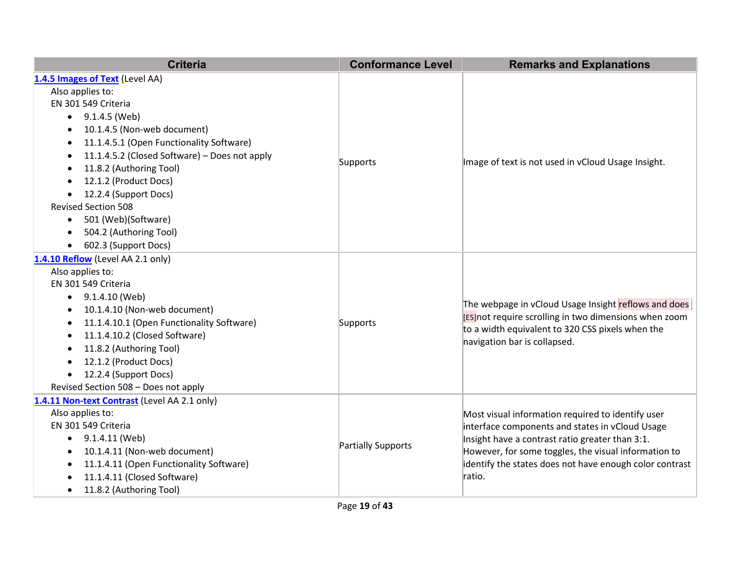| <b>Criteria</b>                                            | <b>Conformance Level</b> | <b>Remarks and Explanations</b>                                                                                                                                    |
|------------------------------------------------------------|--------------------------|--------------------------------------------------------------------------------------------------------------------------------------------------------------------|
| 1.4.5 Images of Text (Level AA)                            |                          |                                                                                                                                                                    |
| Also applies to:                                           |                          |                                                                                                                                                                    |
| EN 301 549 Criteria                                        |                          |                                                                                                                                                                    |
| 9.1.4.5 (Web)<br>$\bullet$                                 |                          |                                                                                                                                                                    |
| 10.1.4.5 (Non-web document)<br>$\bullet$                   |                          |                                                                                                                                                                    |
| 11.1.4.5.1 (Open Functionality Software)<br>$\bullet$      |                          |                                                                                                                                                                    |
| 11.1.4.5.2 (Closed Software) - Does not apply<br>$\bullet$ |                          |                                                                                                                                                                    |
| 11.8.2 (Authoring Tool)<br>$\bullet$                       | Supports                 | Image of text is not used in vCloud Usage Insight.                                                                                                                 |
| 12.1.2 (Product Docs)<br>$\bullet$                         |                          |                                                                                                                                                                    |
| 12.2.4 (Support Docs)<br>$\bullet$                         |                          |                                                                                                                                                                    |
| <b>Revised Section 508</b>                                 |                          |                                                                                                                                                                    |
| 501 (Web)(Software)<br>$\bullet$                           |                          |                                                                                                                                                                    |
| 504.2 (Authoring Tool)<br>$\bullet$                        |                          |                                                                                                                                                                    |
| 602.3 (Support Docs)<br>$\bullet$                          |                          |                                                                                                                                                                    |
| 1.4.10 Reflow (Level AA 2.1 only)                          |                          |                                                                                                                                                                    |
| Also applies to:                                           |                          |                                                                                                                                                                    |
| EN 301 549 Criteria                                        | Supports                 | The webpage in vCloud Usage Insight reflows and does<br>[E5] not require scrolling in two dimensions when zoom<br>to a width equivalent to 320 CSS pixels when the |
| 9.1.4.10 (Web)<br>$\bullet$                                |                          |                                                                                                                                                                    |
| 10.1.4.10 (Non-web document)<br>$\bullet$                  |                          |                                                                                                                                                                    |
| 11.1.4.10.1 (Open Functionality Software)<br>$\bullet$     |                          |                                                                                                                                                                    |
| 11.1.4.10.2 (Closed Software)<br>$\bullet$                 |                          | navigation bar is collapsed.                                                                                                                                       |
| 11.8.2 (Authoring Tool)<br>$\bullet$                       |                          |                                                                                                                                                                    |
| 12.1.2 (Product Docs)<br>$\bullet$                         |                          |                                                                                                                                                                    |
| 12.2.4 (Support Docs)                                      |                          |                                                                                                                                                                    |
| Revised Section 508 - Does not apply                       |                          |                                                                                                                                                                    |
| 1.4.11 Non-text Contrast (Level AA 2.1 only)               |                          |                                                                                                                                                                    |
| Also applies to:                                           |                          | Most visual information required to identify user                                                                                                                  |
| EN 301 549 Criteria                                        |                          | interface components and states in vCloud Usage                                                                                                                    |
| 9.1.4.11 (Web)<br>$\bullet$                                | Partially Supports       | Insight have a contrast ratio greater than 3:1.                                                                                                                    |
| 10.1.4.11 (Non-web document)<br>$\bullet$                  |                          | However, for some toggles, the visual information to                                                                                                               |
| 11.1.4.11 (Open Functionality Software)<br>$\bullet$       |                          | identify the states does not have enough color contrast                                                                                                            |
| 11.1.4.11 (Closed Software)                                |                          | ratio.                                                                                                                                                             |
| 11.8.2 (Authoring Tool)<br>$\bullet$                       |                          |                                                                                                                                                                    |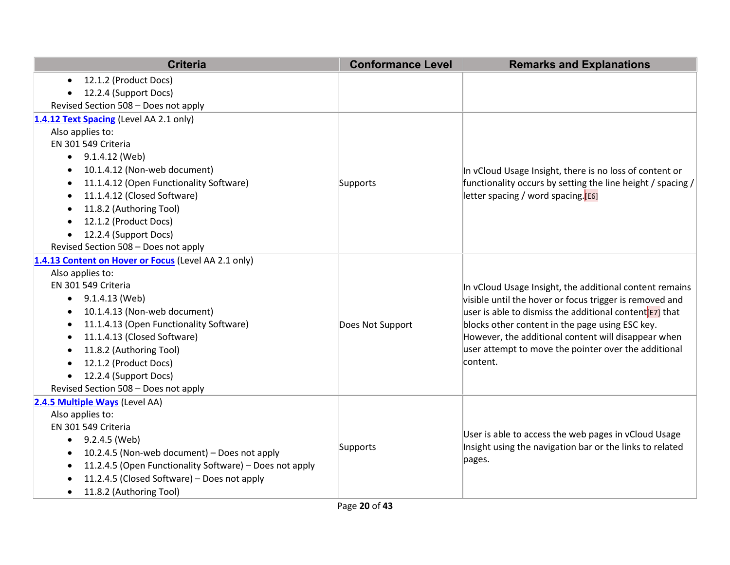| <b>Criteria</b>                                                      | <b>Conformance Level</b> | <b>Remarks and Explanations</b>                                     |
|----------------------------------------------------------------------|--------------------------|---------------------------------------------------------------------|
| 12.1.2 (Product Docs)<br>$\bullet$                                   |                          |                                                                     |
| 12.2.4 (Support Docs)                                                |                          |                                                                     |
| Revised Section 508 - Does not apply                                 |                          |                                                                     |
| 1.4.12 Text Spacing (Level AA 2.1 only)                              |                          |                                                                     |
| Also applies to:                                                     |                          |                                                                     |
| EN 301 549 Criteria                                                  |                          |                                                                     |
| 9.1.4.12 (Web)                                                       |                          |                                                                     |
| 10.1.4.12 (Non-web document)<br>$\bullet$                            |                          | In vCloud Usage Insight, there is no loss of content or             |
| 11.1.4.12 (Open Functionality Software)                              | Supports                 | functionality occurs by setting the line height / spacing /         |
| 11.1.4.12 (Closed Software)                                          |                          | letter spacing / word spacing.[E6]                                  |
| 11.8.2 (Authoring Tool)                                              |                          |                                                                     |
| 12.1.2 (Product Docs)                                                |                          |                                                                     |
| 12.2.4 (Support Docs)                                                |                          |                                                                     |
| Revised Section 508 - Does not apply                                 |                          |                                                                     |
| 1.4.13 Content on Hover or Focus (Level AA 2.1 only)                 |                          |                                                                     |
| Also applies to:                                                     |                          |                                                                     |
| EN 301 549 Criteria                                                  |                          | In vCloud Usage Insight, the additional content remains             |
| 9.1.4.13 (Web)                                                       |                          | visible until the hover or focus trigger is removed and             |
| 10.1.4.13 (Non-web document)                                         |                          | user is able to dismiss the additional content <sup>[E7]</sup> that |
| 11.1.4.13 (Open Functionality Software)                              | Does Not Support         | blocks other content in the page using ESC key.                     |
| 11.1.4.13 (Closed Software)                                          |                          | However, the additional content will disappear when                 |
| 11.8.2 (Authoring Tool)                                              |                          | user attempt to move the pointer over the additional                |
| 12.1.2 (Product Docs)                                                |                          | content.                                                            |
| 12.2.4 (Support Docs)                                                |                          |                                                                     |
| Revised Section 508 - Does not apply                                 |                          |                                                                     |
| 2.4.5 Multiple Ways (Level AA)                                       |                          |                                                                     |
| Also applies to:                                                     |                          |                                                                     |
| EN 301 549 Criteria                                                  |                          | User is able to access the web pages in vCloud Usage                |
| 9.2.4.5 (Web)<br>$\bullet$                                           | Supports                 | Insight using the navigation bar or the links to related            |
| 10.2.4.5 (Non-web document) - Does not apply                         |                          | pages.                                                              |
| 11.2.4.5 (Open Functionality Software) - Does not apply<br>$\bullet$ |                          |                                                                     |
| 11.2.4.5 (Closed Software) - Does not apply                          |                          |                                                                     |
| 11.8.2 (Authoring Tool)<br>$\bullet$                                 |                          |                                                                     |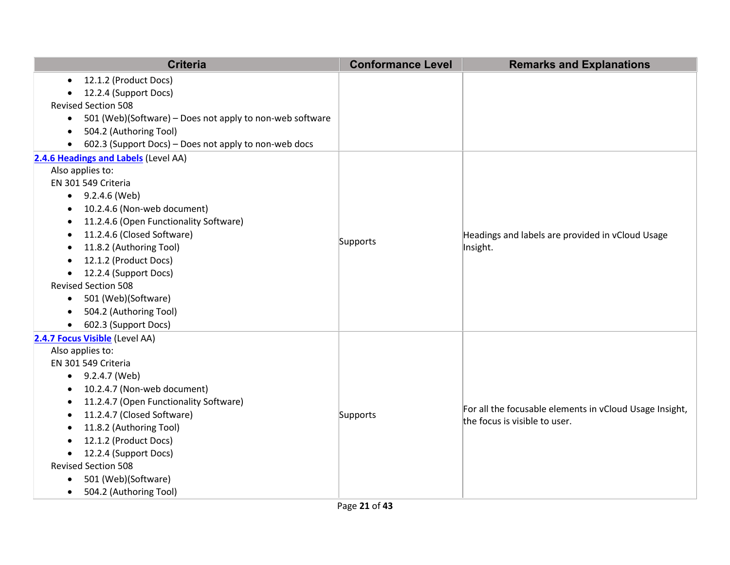|           | <b>Criteria</b>                                          | <b>Conformance Level</b> | <b>Remarks and Explanations</b>                              |
|-----------|----------------------------------------------------------|--------------------------|--------------------------------------------------------------|
| $\bullet$ | 12.1.2 (Product Docs)                                    |                          |                                                              |
| $\bullet$ | 12.2.4 (Support Docs)                                    |                          |                                                              |
|           | <b>Revised Section 508</b>                               |                          |                                                              |
| $\bullet$ | 501 (Web)(Software) - Does not apply to non-web software |                          |                                                              |
| $\bullet$ | 504.2 (Authoring Tool)                                   |                          |                                                              |
| $\bullet$ | 602.3 (Support Docs) - Does not apply to non-web docs    |                          |                                                              |
|           | 2.4.6 Headings and Labels (Level AA)                     |                          |                                                              |
|           | Also applies to:                                         |                          |                                                              |
|           | EN 301 549 Criteria                                      |                          |                                                              |
|           | $\bullet$ 9.2.4.6 (Web)                                  |                          |                                                              |
| $\bullet$ | 10.2.4.6 (Non-web document)                              |                          |                                                              |
| $\bullet$ | 11.2.4.6 (Open Functionality Software)                   |                          |                                                              |
| $\bullet$ | 11.2.4.6 (Closed Software)                               |                          | Headings and labels are provided in vCloud Usage<br>Insight. |
| $\bullet$ | 11.8.2 (Authoring Tool)                                  | Supports                 |                                                              |
| $\bullet$ | 12.1.2 (Product Docs)                                    |                          |                                                              |
| $\bullet$ | 12.2.4 (Support Docs)                                    |                          |                                                              |
|           | <b>Revised Section 508</b>                               |                          |                                                              |
| $\bullet$ | 501 (Web)(Software)                                      |                          |                                                              |
|           | 504.2 (Authoring Tool)                                   |                          |                                                              |
| $\bullet$ | 602.3 (Support Docs)                                     |                          |                                                              |
|           | 2.4.7 Focus Visible (Level AA)                           |                          |                                                              |
|           | Also applies to:                                         |                          |                                                              |
|           | EN 301 549 Criteria                                      |                          |                                                              |
| $\bullet$ | 9.2.4.7 (Web)                                            |                          |                                                              |
|           | 10.2.4.7 (Non-web document)                              |                          |                                                              |
| $\bullet$ | 11.2.4.7 (Open Functionality Software)                   |                          | For all the focusable elements in vCloud Usage Insight,      |
| $\bullet$ | 11.2.4.7 (Closed Software)                               | Supports                 | the focus is visible to user.                                |
| $\bullet$ | 11.8.2 (Authoring Tool)                                  |                          |                                                              |
| $\bullet$ | 12.1.2 (Product Docs)                                    |                          |                                                              |
| $\bullet$ | 12.2.4 (Support Docs)                                    |                          |                                                              |
|           | <b>Revised Section 508</b>                               |                          |                                                              |
| $\bullet$ | 501 (Web)(Software)                                      |                          |                                                              |
| $\bullet$ | 504.2 (Authoring Tool)                                   |                          |                                                              |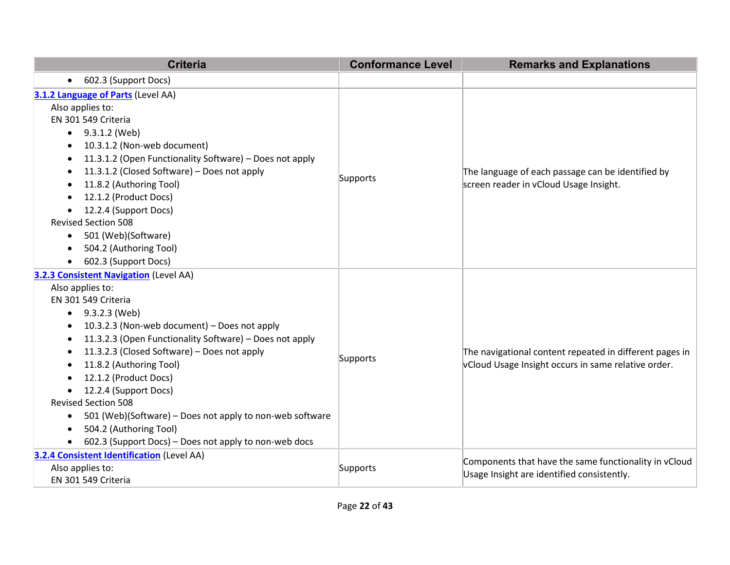| <b>Criteria</b>                                                                                                                                                                                                                                                                                                                                                                                                                                                                                                                                                             | <b>Conformance Level</b> | <b>Remarks and Explanations</b>                                                                                |
|-----------------------------------------------------------------------------------------------------------------------------------------------------------------------------------------------------------------------------------------------------------------------------------------------------------------------------------------------------------------------------------------------------------------------------------------------------------------------------------------------------------------------------------------------------------------------------|--------------------------|----------------------------------------------------------------------------------------------------------------|
| 602.3 (Support Docs)<br>$\bullet$                                                                                                                                                                                                                                                                                                                                                                                                                                                                                                                                           |                          |                                                                                                                |
| 3.1.2 Language of Parts (Level AA)<br>Also applies to:<br>EN 301 549 Criteria<br>9.3.1.2 (Web)<br>$\bullet$<br>10.3.1.2 (Non-web document)<br>٠<br>11.3.1.2 (Open Functionality Software) - Does not apply<br>11.3.1.2 (Closed Software) - Does not apply<br>$\bullet$<br>11.8.2 (Authoring Tool)<br>$\bullet$<br>12.1.2 (Product Docs)<br>12.2.4 (Support Docs)<br><b>Revised Section 508</b><br>501 (Web)(Software)<br>$\bullet$<br>504.2 (Authoring Tool)<br>$\bullet$<br>602.3 (Support Docs)                                                                           | Supports                 | The language of each passage can be identified by<br>screen reader in vCloud Usage Insight.                    |
| <b>3.2.3 Consistent Navigation (Level AA)</b><br>Also applies to:<br>EN 301 549 Criteria<br>9.3.2.3 (Web)<br>$\bullet$<br>10.3.2.3 (Non-web document) - Does not apply<br>٠<br>11.3.2.3 (Open Functionality Software) - Does not apply<br>٠<br>11.3.2.3 (Closed Software) - Does not apply<br>٠<br>11.8.2 (Authoring Tool)<br>12.1.2 (Product Docs)<br>12.2.4 (Support Docs)<br><b>Revised Section 508</b><br>501 (Web)(Software) – Does not apply to non-web software<br>٠<br>504.2 (Authoring Tool)<br>$\bullet$<br>602.3 (Support Docs) - Does not apply to non-web docs | Supports                 | The navigational content repeated in different pages in<br>vCloud Usage Insight occurs in same relative order. |
| 3.2.4 Consistent Identification (Level AA)<br>Also applies to:<br>EN 301 549 Criteria                                                                                                                                                                                                                                                                                                                                                                                                                                                                                       | Supports                 | Components that have the same functionality in vCloud<br>Usage Insight are identified consistently.            |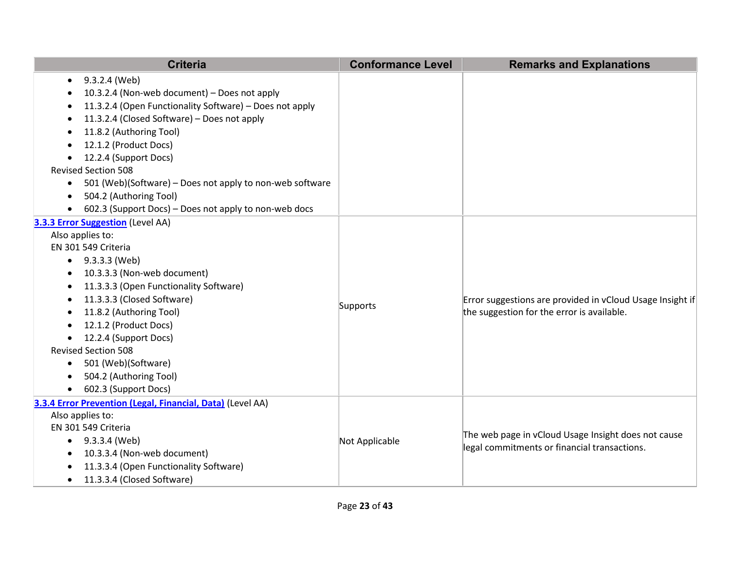| <b>Criteria</b>                                                                                                                                                                                                                                                                                                                                                                                                                                                                       | <b>Conformance Level</b> | <b>Remarks and Explanations</b>                                                                         |
|---------------------------------------------------------------------------------------------------------------------------------------------------------------------------------------------------------------------------------------------------------------------------------------------------------------------------------------------------------------------------------------------------------------------------------------------------------------------------------------|--------------------------|---------------------------------------------------------------------------------------------------------|
| 9.3.2.4 (Web)<br>$\bullet$<br>10.3.2.4 (Non-web document) - Does not apply<br>11.3.2.4 (Open Functionality Software) - Does not apply<br>11.3.2.4 (Closed Software) - Does not apply<br>11.8.2 (Authoring Tool)<br>12.1.2 (Product Docs)<br>12.2.4 (Support Docs)<br>$\bullet$<br><b>Revised Section 508</b><br>501 (Web)(Software) – Does not apply to non-web software<br>$\bullet$<br>504.2 (Authoring Tool)<br>$\bullet$<br>602.3 (Support Docs) - Does not apply to non-web docs |                          |                                                                                                         |
| 3.3.3 Error Suggestion (Level AA)<br>Also applies to:<br>EN 301 549 Criteria<br>$\bullet$ 9.3.3.3 (Web)<br>10.3.3.3 (Non-web document)<br>11.3.3.3 (Open Functionality Software)<br>11.3.3.3 (Closed Software)<br>11.8.2 (Authoring Tool)<br>12.1.2 (Product Docs)<br>12.2.4 (Support Docs)<br><b>Revised Section 508</b><br>501 (Web)(Software)<br>$\bullet$<br>504.2 (Authoring Tool)<br>602.3 (Support Docs)                                                                       | Supports                 | Error suggestions are provided in vCloud Usage Insight if<br>the suggestion for the error is available. |
| 3.3.4 Error Prevention (Legal, Financial, Data) (Level AA)<br>Also applies to:<br>EN 301 549 Criteria<br>• $9.3.3.4$ (Web)<br>10.3.3.4 (Non-web document)<br>11.3.3.4 (Open Functionality Software)<br>11.3.3.4 (Closed Software)<br>$\bullet$                                                                                                                                                                                                                                        | Not Applicable           | The web page in vCloud Usage Insight does not cause<br>legal commitments or financial transactions.     |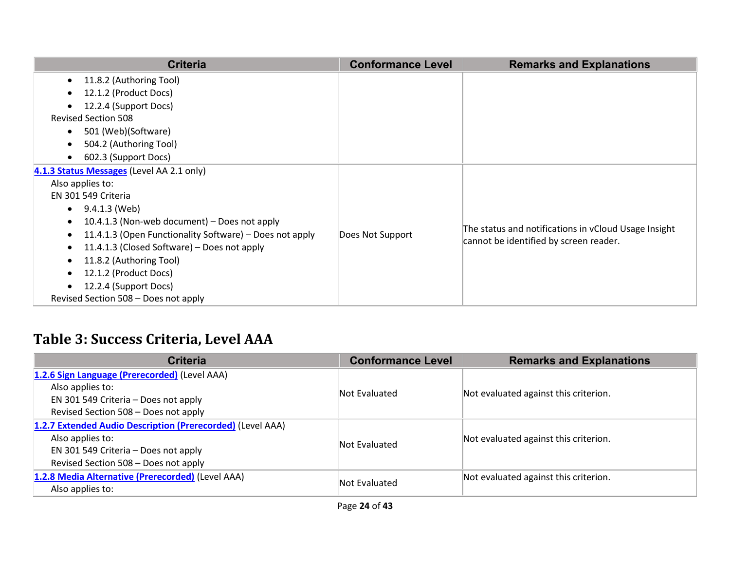| <b>Criteria</b>                                                      | <b>Conformance Level</b> | <b>Remarks and Explanations</b>                                                                |
|----------------------------------------------------------------------|--------------------------|------------------------------------------------------------------------------------------------|
| 11.8.2 (Authoring Tool)<br>$\bullet$                                 |                          |                                                                                                |
| 12.1.2 (Product Docs)                                                |                          |                                                                                                |
| 12.2.4 (Support Docs)                                                |                          |                                                                                                |
| <b>Revised Section 508</b>                                           |                          |                                                                                                |
| 501 (Web)(Software)<br>$\bullet$                                     |                          |                                                                                                |
| 504.2 (Authoring Tool)                                               |                          |                                                                                                |
| 602.3 (Support Docs)                                                 |                          |                                                                                                |
| 4.1.3 Status Messages (Level AA 2.1 only)                            |                          |                                                                                                |
| Also applies to:                                                     |                          |                                                                                                |
| EN 301 549 Criteria                                                  |                          |                                                                                                |
| 9.4.1.3 (Web)<br>$\bullet$                                           |                          |                                                                                                |
| 10.4.1.3 (Non-web document) – Does not apply<br>$\bullet$            |                          |                                                                                                |
| 11.4.1.3 (Open Functionality Software) – Does not apply<br>$\bullet$ | Does Not Support         | The status and notifications in vCloud Usage Insight<br>cannot be identified by screen reader. |
| 11.4.1.3 (Closed Software) – Does not apply<br>$\bullet$             |                          |                                                                                                |
| 11.8.2 (Authoring Tool)<br>$\bullet$                                 |                          |                                                                                                |
| 12.1.2 (Product Docs)                                                |                          |                                                                                                |
| 12.2.4 (Support Docs)                                                |                          |                                                                                                |
| Revised Section 508 - Does not apply                                 |                          |                                                                                                |

## **Table 3: Success Criteria, Level AAA**

| <b>Criteria</b>                                            | <b>Conformance Level</b> | <b>Remarks and Explanations</b>       |
|------------------------------------------------------------|--------------------------|---------------------------------------|
| 1.2.6 Sign Language (Prerecorded) (Level AAA)              |                          |                                       |
| Also applies to:                                           | Not Evaluated            | Not evaluated against this criterion. |
| EN 301 549 Criteria - Does not apply                       |                          |                                       |
| Revised Section 508 - Does not apply                       |                          |                                       |
| 1.2.7 Extended Audio Description (Prerecorded) (Level AAA) |                          |                                       |
| Also applies to:                                           | Not Evaluated            | Not evaluated against this criterion. |
| EN 301 549 Criteria - Does not apply                       |                          |                                       |
| Revised Section 508 - Does not apply                       |                          |                                       |
| 1.2.8 Media Alternative (Prerecorded) (Level AAA)          | Not Evaluated            | Not evaluated against this criterion. |
| Also applies to:                                           |                          |                                       |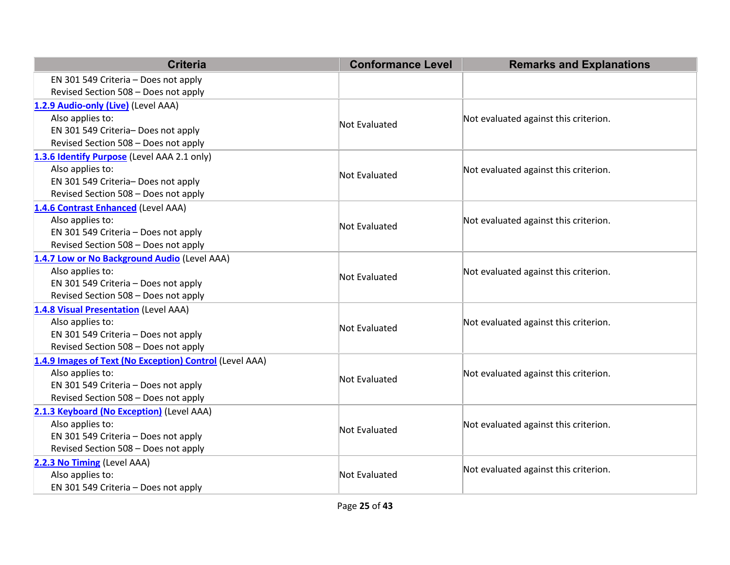| <b>Criteria</b>                                         | <b>Conformance Level</b> | <b>Remarks and Explanations</b>       |  |
|---------------------------------------------------------|--------------------------|---------------------------------------|--|
| EN 301 549 Criteria - Does not apply                    |                          |                                       |  |
| Revised Section 508 - Does not apply                    |                          |                                       |  |
| 1.2.9 Audio-only (Live) (Level AAA)                     |                          |                                       |  |
| Also applies to:                                        | Not Evaluated            | Not evaluated against this criterion. |  |
| EN 301 549 Criteria- Does not apply                     |                          |                                       |  |
| Revised Section 508 - Does not apply                    |                          |                                       |  |
| 1.3.6 Identify Purpose (Level AAA 2.1 only)             |                          |                                       |  |
| Also applies to:                                        | Not Evaluated            | Not evaluated against this criterion. |  |
| EN 301 549 Criteria- Does not apply                     |                          |                                       |  |
| Revised Section 508 - Does not apply                    |                          |                                       |  |
| 1.4.6 Contrast Enhanced (Level AAA)                     |                          |                                       |  |
| Also applies to:                                        | Not Evaluated            | Not evaluated against this criterion. |  |
| EN 301 549 Criteria - Does not apply                    |                          |                                       |  |
| Revised Section 508 - Does not apply                    |                          |                                       |  |
| 1.4.7 Low or No Background Audio (Level AAA)            |                          |                                       |  |
| Also applies to:                                        | Not Evaluated            | Not evaluated against this criterion. |  |
| EN 301 549 Criteria - Does not apply                    |                          |                                       |  |
| Revised Section 508 - Does not apply                    |                          |                                       |  |
| 1.4.8 Visual Presentation (Level AAA)                   |                          |                                       |  |
| Also applies to:                                        | Not Evaluated            | Not evaluated against this criterion. |  |
| EN 301 549 Criteria - Does not apply                    |                          |                                       |  |
| Revised Section 508 - Does not apply                    |                          |                                       |  |
| 1.4.9 Images of Text (No Exception) Control (Level AAA) |                          |                                       |  |
| Also applies to:                                        | Not Evaluated            | Not evaluated against this criterion. |  |
| EN 301 549 Criteria - Does not apply                    |                          |                                       |  |
| Revised Section 508 - Does not apply                    |                          |                                       |  |
| 2.1.3 Keyboard (No Exception) (Level AAA)               |                          |                                       |  |
| Also applies to:                                        | Not Evaluated            | Not evaluated against this criterion. |  |
| EN 301 549 Criteria - Does not apply                    |                          |                                       |  |
| Revised Section 508 - Does not apply                    |                          |                                       |  |
| 2.2.3 No Timing (Level AAA)                             |                          | Not evaluated against this criterion. |  |
| Also applies to:                                        | Not Evaluated            |                                       |  |
| EN 301 549 Criteria - Does not apply                    |                          |                                       |  |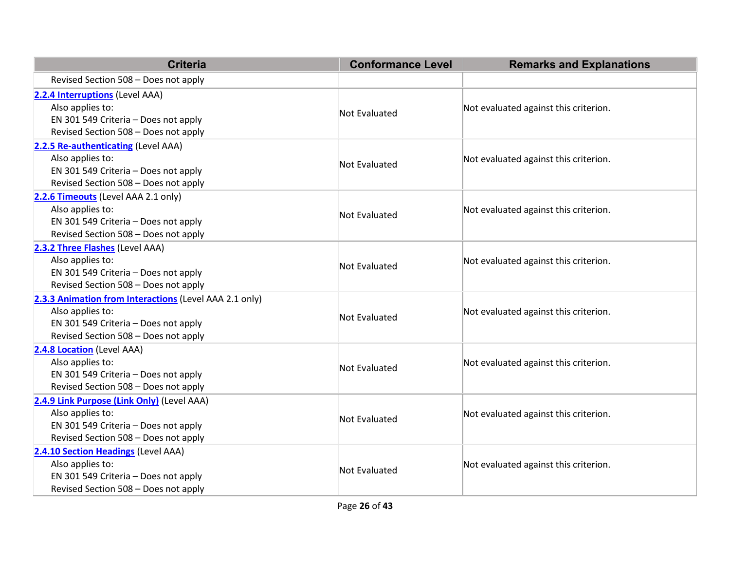| <b>Criteria</b>                                                                                                                                            | <b>Conformance Level</b> | <b>Remarks and Explanations</b>       |
|------------------------------------------------------------------------------------------------------------------------------------------------------------|--------------------------|---------------------------------------|
| Revised Section 508 - Does not apply                                                                                                                       |                          |                                       |
| 2.2.4 Interruptions (Level AAA)<br>Also applies to:<br>EN 301 549 Criteria - Does not apply<br>Revised Section 508 - Does not apply                        | <b>Not Evaluated</b>     | Not evaluated against this criterion. |
| 2.2.5 Re-authenticating (Level AAA)<br>Also applies to:<br>EN 301 549 Criteria - Does not apply<br>Revised Section 508 - Does not apply                    | <b>Not Evaluated</b>     | Not evaluated against this criterion. |
| 2.2.6 Timeouts (Level AAA 2.1 only)<br>Also applies to:<br>EN 301 549 Criteria - Does not apply<br>Revised Section 508 - Does not apply                    | <b>Not Evaluated</b>     | Not evaluated against this criterion. |
| 2.3.2 Three Flashes (Level AAA)<br>Also applies to:<br>EN 301 549 Criteria - Does not apply<br>Revised Section 508 - Does not apply                        | <b>Not Evaluated</b>     | Not evaluated against this criterion. |
| 2.3.3 Animation from Interactions (Level AAA 2.1 only)<br>Also applies to:<br>EN 301 549 Criteria - Does not apply<br>Revised Section 508 - Does not apply | <b>Not Evaluated</b>     | Not evaluated against this criterion. |
| 2.4.8 Location (Level AAA)<br>Also applies to:<br>EN 301 549 Criteria - Does not apply<br>Revised Section 508 - Does not apply                             | <b>Not Evaluated</b>     | Not evaluated against this criterion. |
| 2.4.9 Link Purpose (Link Only) (Level AAA)<br>Also applies to:<br>EN 301 549 Criteria - Does not apply<br>Revised Section 508 - Does not apply             | <b>Not Evaluated</b>     | Not evaluated against this criterion. |
| 2.4.10 Section Headings (Level AAA)<br>Also applies to:<br>EN 301 549 Criteria - Does not apply<br>Revised Section 508 - Does not apply                    | <b>Not Evaluated</b>     | Not evaluated against this criterion. |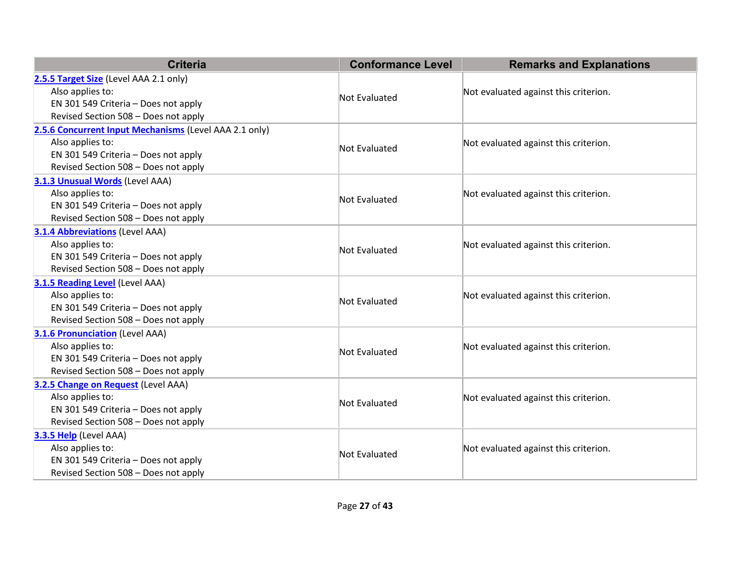| <b>Criteria</b>                                            | <b>Conformance Level</b> | <b>Remarks and Explanations</b>       |  |
|------------------------------------------------------------|--------------------------|---------------------------------------|--|
| 2.5.5 Target Size (Level AAA 2.1 only)<br>Also applies to: |                          |                                       |  |
| EN 301 549 Criteria - Does not apply                       | <b>Not Evaluated</b>     | Not evaluated against this criterion. |  |
| Revised Section 508 - Does not apply                       |                          |                                       |  |
| 2.5.6 Concurrent Input Mechanisms (Level AAA 2.1 only)     |                          |                                       |  |
| Also applies to:                                           |                          | Not evaluated against this criterion. |  |
| EN 301 549 Criteria - Does not apply                       | <b>Not Evaluated</b>     |                                       |  |
| Revised Section 508 - Does not apply                       |                          |                                       |  |
| 3.1.3 Unusual Words (Level AAA)                            |                          |                                       |  |
| Also applies to:                                           | <b>Not Evaluated</b>     | Not evaluated against this criterion. |  |
| EN 301 549 Criteria - Does not apply                       |                          |                                       |  |
| Revised Section 508 - Does not apply                       |                          |                                       |  |
| <b>3.1.4 Abbreviations (Level AAA)</b>                     |                          |                                       |  |
| Also applies to:                                           | <b>Not Evaluated</b>     | Not evaluated against this criterion. |  |
| EN 301 549 Criteria - Does not apply                       |                          |                                       |  |
| Revised Section 508 - Does not apply                       |                          |                                       |  |
| 3.1.5 Reading Level (Level AAA)                            |                          |                                       |  |
| Also applies to:                                           | <b>Not Evaluated</b>     | Not evaluated against this criterion. |  |
| EN 301 549 Criteria - Does not apply                       |                          |                                       |  |
| Revised Section 508 - Does not apply                       |                          |                                       |  |
| <b>3.1.6 Pronunciation (Level AAA)</b>                     |                          |                                       |  |
| Also applies to:                                           | <b>Not Evaluated</b>     | Not evaluated against this criterion. |  |
| EN 301 549 Criteria - Does not apply                       |                          |                                       |  |
| Revised Section 508 - Does not apply                       |                          |                                       |  |
| 3.2.5 Change on Request (Level AAA)                        |                          |                                       |  |
| Also applies to:                                           | Not Evaluated            | Not evaluated against this criterion. |  |
| EN 301 549 Criteria - Does not apply                       |                          |                                       |  |
| Revised Section 508 - Does not apply                       |                          |                                       |  |
| 3.3.5 Help (Level AAA)                                     |                          |                                       |  |
| Also applies to:                                           | Not Evaluated            | Not evaluated against this criterion. |  |
| EN 301 549 Criteria - Does not apply                       |                          |                                       |  |
| Revised Section 508 - Does not apply                       |                          |                                       |  |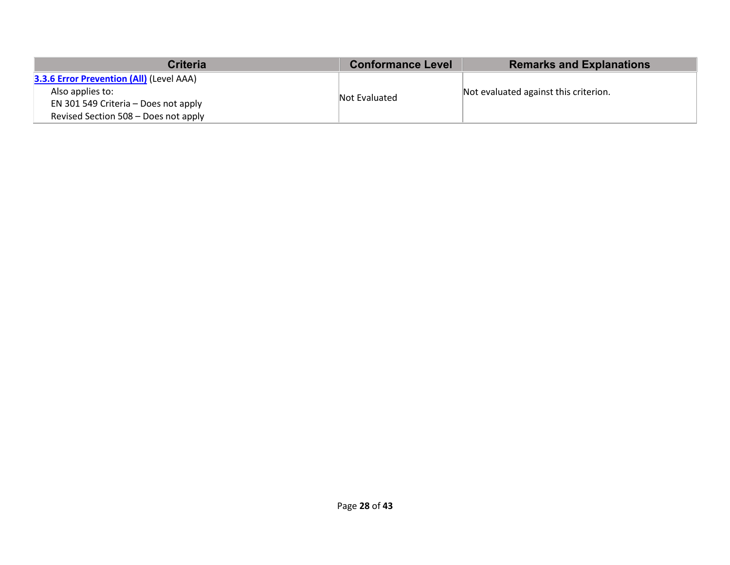| <b>Criteria</b>                                 | <b>Conformance Level</b> | <b>Remarks and Explanations</b>       |
|-------------------------------------------------|--------------------------|---------------------------------------|
| <b>3.3.6 Error Prevention (All) (Level AAA)</b> |                          |                                       |
| Also applies to:                                | Not Evaluated            | Not evaluated against this criterion. |
| EN 301 549 Criteria - Does not apply            |                          |                                       |
| Revised Section 508 – Does not apply            |                          |                                       |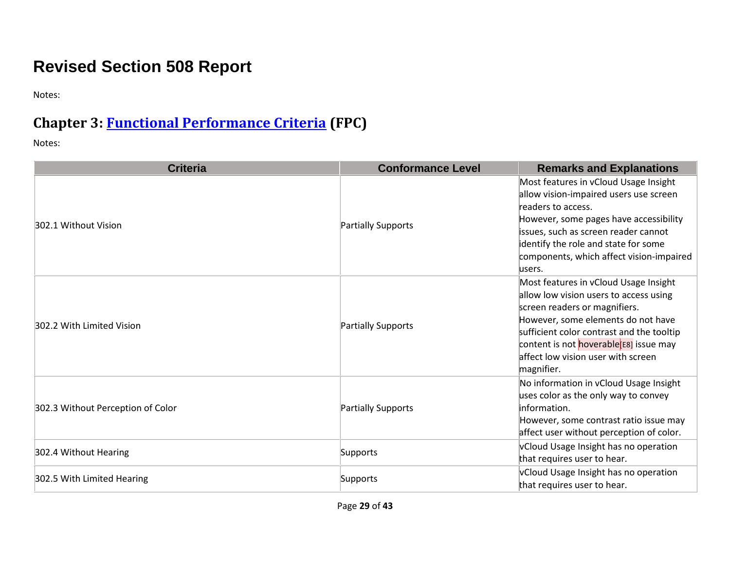# **Revised Section 508 Report**

Notes:

## **Chapter 3: [Functional Performance Criteria](https://www.access-board.gov/guidelines-and-standards/communications-and-it/about-the-ict-refresh/final-rule/text-of-the-standards-and-guidelines#302-functional-performance-criteria) (FPC)**

| <b>Criteria</b>                   | <b>Conformance Level</b> | <b>Remarks and Explanations</b>                                                                                                                                                                                                                                                                   |
|-----------------------------------|--------------------------|---------------------------------------------------------------------------------------------------------------------------------------------------------------------------------------------------------------------------------------------------------------------------------------------------|
| 302.1 Without Vision              | Partially Supports       | Most features in vCloud Usage Insight<br>allow vision-impaired users use screen<br>readers to access.<br>However, some pages have accessibility<br>issues, such as screen reader cannot<br>identify the role and state for some<br>components, which affect vision-impaired<br>users.             |
| 302.2 With Limited Vision         | Partially Supports       | Most features in vCloud Usage Insight<br>allow low vision users to access using<br>screen readers or magnifiers.<br>However, some elements do not have<br>sufficient color contrast and the tooltip<br>content is not hoverable[E8] issue may<br>affect low vision user with screen<br>magnifier. |
| 302.3 Without Perception of Color | Partially Supports       | No information in vCloud Usage Insight<br>uses color as the only way to convey<br>information.<br>However, some contrast ratio issue may<br>affect user without perception of color.                                                                                                              |
| 302.4 Without Hearing             | Supports                 | vCloud Usage Insight has no operation<br>that requires user to hear.                                                                                                                                                                                                                              |
| 302.5 With Limited Hearing        | Supports                 | vCloud Usage Insight has no operation<br>that requires user to hear.                                                                                                                                                                                                                              |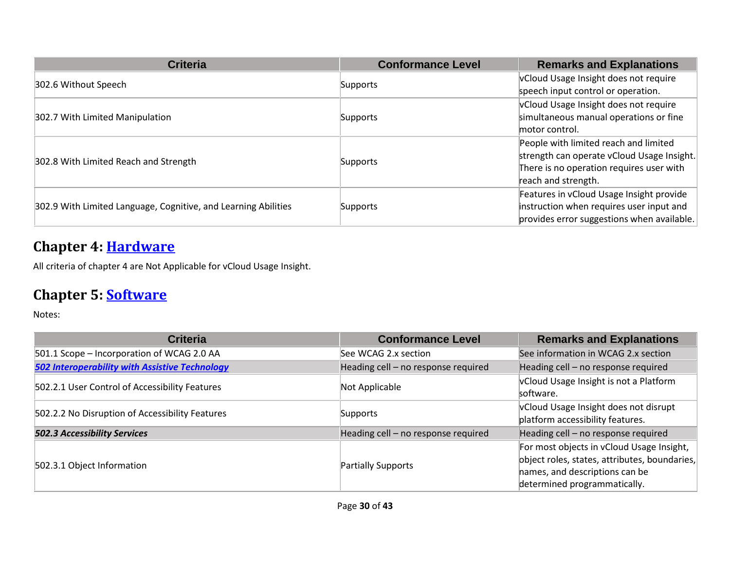| <b>Criteria</b>                                                | <b>Conformance Level</b> | <b>Remarks and Explanations</b>                                                                                                                        |
|----------------------------------------------------------------|--------------------------|--------------------------------------------------------------------------------------------------------------------------------------------------------|
| 302.6 Without Speech                                           | Supports                 | vCloud Usage Insight does not require<br>speech input control or operation.                                                                            |
|                                                                |                          | vCloud Usage Insight does not require                                                                                                                  |
| 302.7 With Limited Manipulation                                | Supports                 | simultaneous manual operations or fine<br>motor control.                                                                                               |
| 302.8 With Limited Reach and Strength                          | Supports                 | People with limited reach and limited<br>strength can operate vCloud Usage Insight.<br>There is no operation requires user with<br>reach and strength. |
| 302.9 With Limited Language, Cognitive, and Learning Abilities | Supports                 | Features in vCloud Usage Insight provide<br>instruction when requires user input and<br>provides error suggestions when available.                     |

#### **Chapter 4: [Hardware](https://www.access-board.gov/guidelines-and-standards/communications-and-it/about-the-ict-refresh/final-rule/text-of-the-standards-and-guidelines#401-general)**

All criteria of chapter 4 are Not Applicable for vCloud Usage Insight.

#### **Chapter 5: [Software](https://www.access-board.gov/guidelines-and-standards/communications-and-it/about-the-ict-refresh/final-rule/text-of-the-standards-and-guidelines#501-general)**

| <b>Criteria</b>                                       | <b>Conformance Level</b>            | <b>Remarks and Explanations</b>                                                                                                                              |
|-------------------------------------------------------|-------------------------------------|--------------------------------------------------------------------------------------------------------------------------------------------------------------|
| 501.1 Scope - Incorporation of WCAG 2.0 AA            | See WCAG 2.x section                | See information in WCAG 2.x section                                                                                                                          |
| <b>502 Interoperability with Assistive Technology</b> | Heading cell - no response required | Heading cell - no response required                                                                                                                          |
| 502.2.1 User Control of Accessibility Features        | Not Applicable                      | vCloud Usage Insight is not a Platform<br>software.                                                                                                          |
| 502.2.2 No Disruption of Accessibility Features       | Supports                            | vCloud Usage Insight does not disrupt<br>platform accessibility features.                                                                                    |
| <b>502.3 Accessibility Services</b>                   | Heading cell - no response required | Heading cell - no response required                                                                                                                          |
| 502.3.1 Object Information                            | Partially Supports                  | For most objects in vCloud Usage Insight,<br>object roles, states, attributes, boundaries,<br>hames, and descriptions can be<br>determined programmatically. |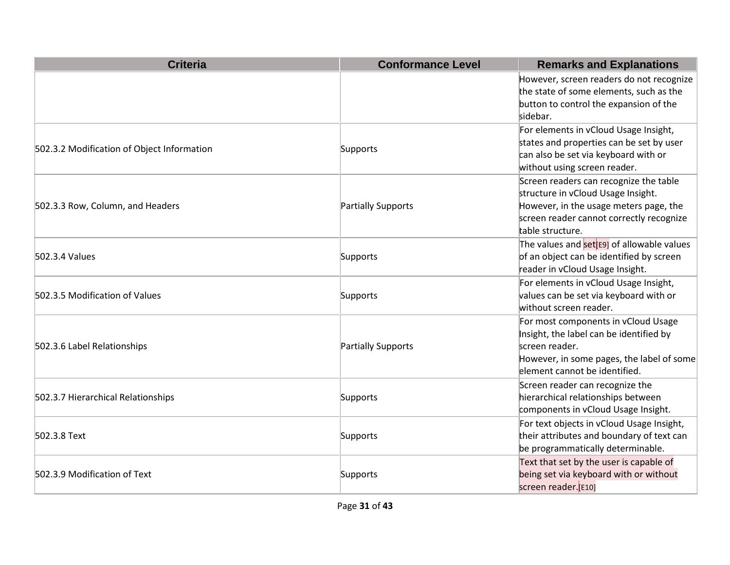| <b>Criteria</b>                            | <b>Conformance Level</b> | <b>Remarks and Explanations</b>                                                                                                                                                        |
|--------------------------------------------|--------------------------|----------------------------------------------------------------------------------------------------------------------------------------------------------------------------------------|
|                                            |                          | However, screen readers do not recognize<br>the state of some elements, such as the<br>button to control the expansion of the<br>sidebar.                                              |
| 502.3.2 Modification of Object Information | Supports                 | For elements in vCloud Usage Insight,<br>states and properties can be set by user<br>can also be set via keyboard with or<br>without using screen reader.                              |
| 502.3.3 Row, Column, and Headers           | Partially Supports       | Screen readers can recognize the table<br>structure in vCloud Usage Insight.<br>However, in the usage meters page, the<br>screen reader cannot correctly recognize<br>table structure. |
| 502.3.4 Values                             | Supports                 | The values and <b>set</b> <sup>[[6]</sup> of allowable values<br>of an object can be identified by screen<br>reader in vCloud Usage Insight.                                           |
| 502.3.5 Modification of Values             | Supports                 | For elements in vCloud Usage Insight,<br>values can be set via keyboard with or<br>without screen reader.                                                                              |
| 502.3.6 Label Relationships                | Partially Supports       | For most components in vCloud Usage<br>Insight, the label can be identified by<br>screen reader.<br>However, in some pages, the label of some<br>element cannot be identified.         |
| 502.3.7 Hierarchical Relationships         | Supports                 | Screen reader can recognize the<br>hierarchical relationships between<br>components in vCloud Usage Insight.                                                                           |
| 502.3.8 Text                               | Supports                 | For text objects in vCloud Usage Insight,<br>their attributes and boundary of text can<br>be programmatically determinable.                                                            |
| 502.3.9 Modification of Text               | Supports                 | Text that set by the user is capable of<br>being set via keyboard with or without<br>screen reader.[E10]                                                                               |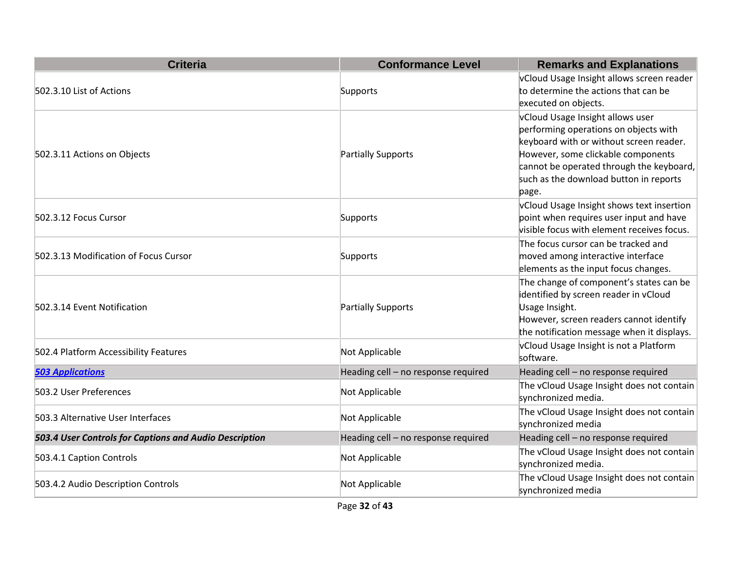| <b>Criteria</b>                                        | <b>Conformance Level</b>            | <b>Remarks and Explanations</b>                                                                                                                                                                                                                           |
|--------------------------------------------------------|-------------------------------------|-----------------------------------------------------------------------------------------------------------------------------------------------------------------------------------------------------------------------------------------------------------|
| 502.3.10 List of Actions                               | Supports                            | vCloud Usage Insight allows screen reader<br>to determine the actions that can be<br>executed on objects.                                                                                                                                                 |
| 502.3.11 Actions on Objects                            | Partially Supports                  | vCloud Usage Insight allows user<br>performing operations on objects with<br>keyboard with or without screen reader.<br>However, some clickable components<br>cannot be operated through the keyboard,<br>such as the download button in reports<br>page. |
| 502.3.12 Focus Cursor                                  | Supports                            | vCloud Usage Insight shows text insertion<br>point when requires user input and have<br>visible focus with element receives focus.                                                                                                                        |
| 502.3.13 Modification of Focus Cursor                  | Supports                            | The focus cursor can be tracked and<br>moved among interactive interface<br>elements as the input focus changes.                                                                                                                                          |
| 502.3.14 Event Notification                            | Partially Supports                  | The change of component's states can be<br>identified by screen reader in vCloud<br>Usage Insight.<br>However, screen readers cannot identify<br>the notification message when it displays.                                                               |
| 502.4 Platform Accessibility Features                  | Not Applicable                      | vCloud Usage Insight is not a Platform<br>software.                                                                                                                                                                                                       |
| <b>503 Applications</b>                                | Heading cell - no response required | Heading cell - no response required                                                                                                                                                                                                                       |
| 503.2 User Preferences                                 | Not Applicable                      | The vCloud Usage Insight does not contain<br>synchronized media.                                                                                                                                                                                          |
| 503.3 Alternative User Interfaces                      | Not Applicable                      | The vCloud Usage Insight does not contain<br>synchronized media                                                                                                                                                                                           |
| 503.4 User Controls for Captions and Audio Description | Heading cell - no response required | Heading cell - no response required                                                                                                                                                                                                                       |
| 503.4.1 Caption Controls                               | Not Applicable                      | The vCloud Usage Insight does not contain<br>synchronized media.                                                                                                                                                                                          |
| 503.4.2 Audio Description Controls                     | Not Applicable                      | The vCloud Usage Insight does not contain<br>synchronized media                                                                                                                                                                                           |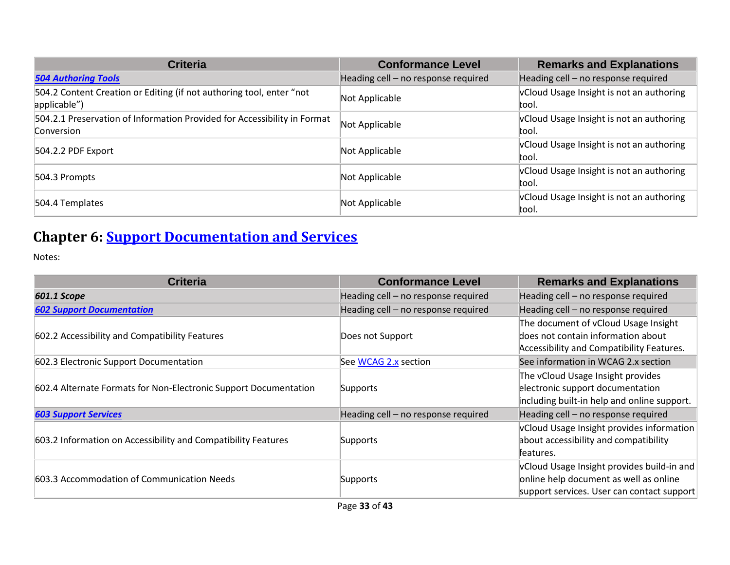| <b>Criteria</b>                                                                        | <b>Conformance Level</b>            | <b>Remarks and Explanations</b>                   |
|----------------------------------------------------------------------------------------|-------------------------------------|---------------------------------------------------|
| <b>504 Authoring Tools</b>                                                             | Heading cell - no response required | Heading cell - no response required               |
| 504.2 Content Creation or Editing (if not authoring tool, enter "not<br>applicable")   | Not Applicable                      | vCloud Usage Insight is not an authoring<br>tool. |
| 504.2.1 Preservation of Information Provided for Accessibility in Format<br>Conversion | Not Applicable                      | vCloud Usage Insight is not an authoring<br>tool. |
| 504.2.2 PDF Export                                                                     | Not Applicable                      | vCloud Usage Insight is not an authoring<br>tool. |
| 504.3 Prompts                                                                          | Not Applicable                      | vCloud Usage Insight is not an authoring<br>tool. |
| 504.4 Templates                                                                        | Not Applicable                      | vCloud Usage Insight is not an authoring<br>tool. |

# **Chapter 6: [Support Documentation and Services](https://www.access-board.gov/guidelines-and-standards/communications-and-it/about-the-ict-refresh/final-rule/text-of-the-standards-and-guidelines#601-general)**

| <b>Criteria</b>                                                  | <b>Conformance Level</b>            | <b>Remarks and Explanations</b>             |
|------------------------------------------------------------------|-------------------------------------|---------------------------------------------|
| 601.1 Scope                                                      | Heading cell - no response required | Heading cell - no response required         |
| <b>602 Support Documentation</b>                                 | Heading cell - no response required | Heading cell - no response required         |
|                                                                  |                                     | The document of vCloud Usage Insight        |
| 602.2 Accessibility and Compatibility Features                   | Does not Support                    | does not contain information about          |
|                                                                  |                                     | Accessibility and Compatibility Features.   |
| 602.3 Electronic Support Documentation                           | See WCAG 2.x section                | See information in WCAG 2.x section         |
|                                                                  |                                     | The vCloud Usage Insight provides           |
| 602.4 Alternate Formats for Non-Electronic Support Documentation | Supports                            | electronic support documentation            |
|                                                                  |                                     | including built-in help and online support. |
| <b>603 Support Services</b>                                      | Heading cell - no response required | Heading cell - no response required         |
|                                                                  |                                     | vCloud Usage Insight provides information   |
| 603.2 Information on Accessibility and Compatibility Features    | Supports                            | about accessibility and compatibility       |
|                                                                  |                                     | features.                                   |
|                                                                  |                                     | vCloud Usage Insight provides build-in and  |
| 603.3 Accommodation of Communication Needs                       | Supports                            | online help document as well as online      |
|                                                                  |                                     | support services. User can contact support  |
|                                                                  |                                     |                                             |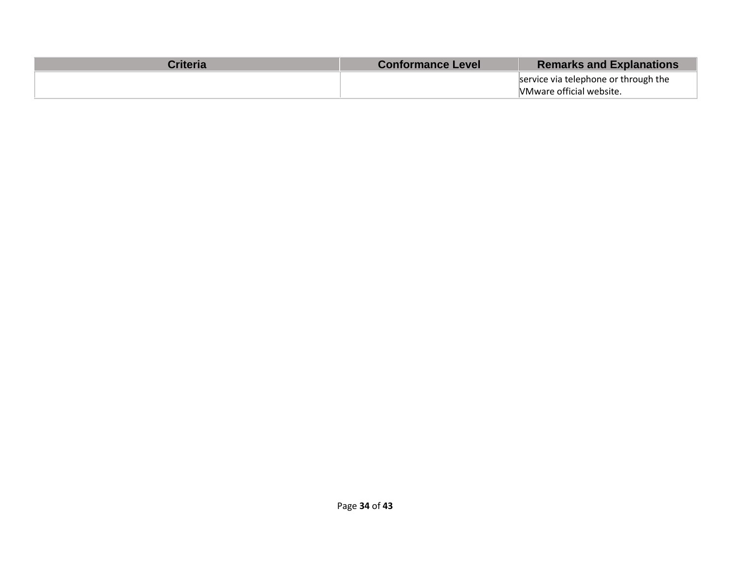| Criterial | <b>Conformance Level</b> | <b>Remarks and Explanations</b>      |
|-----------|--------------------------|--------------------------------------|
|           |                          | service via telephone or through the |
|           |                          | VMware official website.             |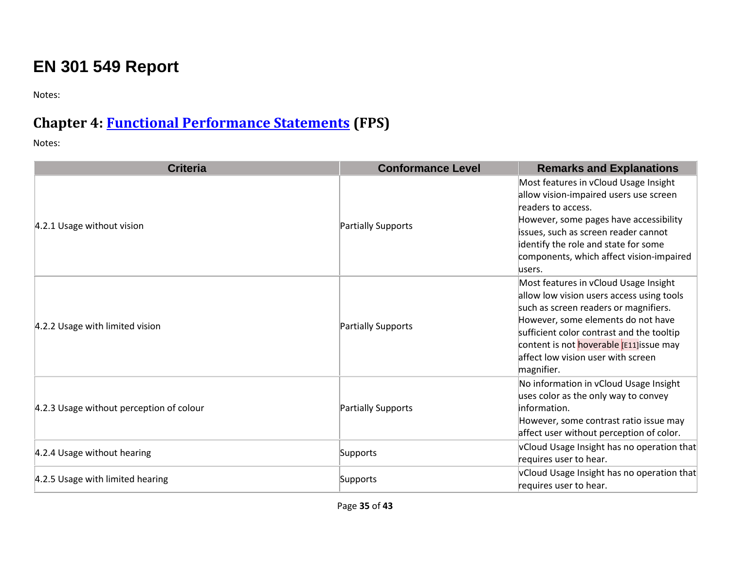# **EN 301 549 Report**

Notes:

#### **Chapter 4: [Functional Performance Statements](https://www.etsi.org/deliver/etsi_en/301500_301599/301549/02.01.02_60/en_301549v020102p.pdf#page=17) (FPS)**

| <b>Criteria</b>                          | <b>Conformance Level</b> | <b>Remarks and Explanations</b>                                                                                                                                                                                                                                                                                |
|------------------------------------------|--------------------------|----------------------------------------------------------------------------------------------------------------------------------------------------------------------------------------------------------------------------------------------------------------------------------------------------------------|
| 4.2.1 Usage without vision               | Partially Supports       | Most features in vCloud Usage Insight<br>allow vision-impaired users use screen<br>readers to access.<br>However, some pages have accessibility<br>issues, such as screen reader cannot<br>dentify the role and state for some<br>components, which affect vision-impaired<br>users.                           |
| 4.2.2 Usage with limited vision          | Partially Supports       | Most features in vCloud Usage Insight<br>allow low vision users access using tools<br>such as screen readers or magnifiers.<br>However, some elements do not have<br>sufficient color contrast and the tooltip<br>content is not hoverable [E11] issue may<br>affect low vision user with screen<br>magnifier. |
| 4.2.3 Usage without perception of colour | Partially Supports       | No information in vCloud Usage Insight<br>uses color as the only way to convey<br>information.<br>However, some contrast ratio issue may<br>affect user without perception of color.                                                                                                                           |
| 4.2.4 Usage without hearing              | Supports                 | vCloud Usage Insight has no operation that<br>requires user to hear.                                                                                                                                                                                                                                           |
| 4.2.5 Usage with limited hearing         | Supports                 | vCloud Usage Insight has no operation that<br>requires user to hear.                                                                                                                                                                                                                                           |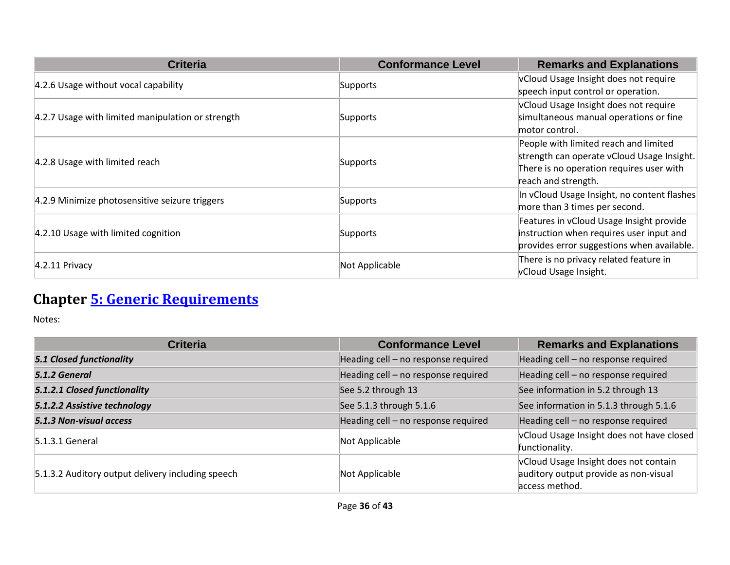| <b>Criteria</b>                                   | <b>Conformance Level</b> | <b>Remarks and Explanations</b>             |
|---------------------------------------------------|--------------------------|---------------------------------------------|
| 4.2.6 Usage without vocal capability              |                          | vCloud Usage Insight does not require       |
|                                                   | Supports                 | speech input control or operation.          |
|                                                   |                          | vCloud Usage Insight does not require       |
| 4.2.7 Usage with limited manipulation or strength | Supports                 | simultaneous manual operations or fine      |
|                                                   |                          | motor control.                              |
|                                                   |                          | People with limited reach and limited       |
| 4.2.8 Usage with limited reach                    | Supports                 | strength can operate vCloud Usage Insight.  |
|                                                   |                          | There is no operation requires user with    |
|                                                   |                          | reach and strength.                         |
| 4.2.9 Minimize photosensitive seizure triggers    | Supports                 | In vCloud Usage Insight, no content flashes |
|                                                   |                          | more than 3 times per second.               |
|                                                   |                          | Features in vCloud Usage Insight provide    |
| 4.2.10 Usage with limited cognition               | Supports                 | instruction when requires user input and    |
|                                                   |                          | provides error suggestions when available.  |
| $4.2.11$ Privacy                                  | Not Applicable           | There is no privacy related feature in      |
|                                                   |                          | vCloud Usage Insight.                       |

# **Chapter [5: Generic Requirements](https://www.etsi.org/deliver/etsi_en/301500_301599/301549/02.01.02_60/en_301549v020102p.pdf#page=20)**

| <b>Criteria</b>                                   | <b>Conformance Level</b>            | <b>Remarks and Explanations</b>                                                                  |
|---------------------------------------------------|-------------------------------------|--------------------------------------------------------------------------------------------------|
| <b>5.1 Closed functionality</b>                   | Heading cell - no response required | Heading cell - no response required                                                              |
| 5.1.2 General                                     | Heading cell - no response required | Heading cell - no response required                                                              |
| 5.1.2.1 Closed functionality                      | See 5.2 through 13                  | See information in 5.2 through 13                                                                |
| 5.1.2.2 Assistive technology                      | See 5.1.3 through 5.1.6             | See information in 5.1.3 through 5.1.6                                                           |
| 5.1.3 Non-visual access                           | Heading cell - no response required | Heading cell - no response required                                                              |
| $5.1.3.1$ General                                 | Not Applicable                      | vCloud Usage Insight does not have closed<br>functionality.                                      |
| 5.1.3.2 Auditory output delivery including speech | Not Applicable                      | vCloud Usage Insight does not contain<br>auditory output provide as non-visual<br>access method. |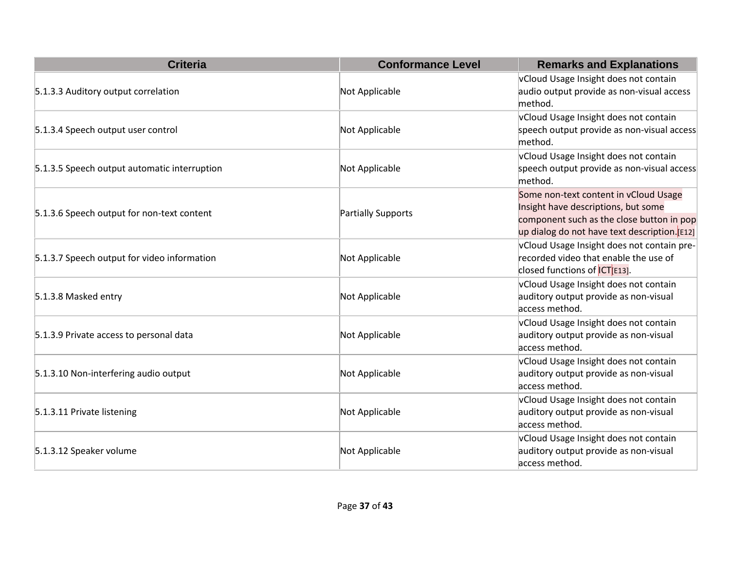| <b>Criteria</b>                              | <b>Conformance Level</b>  | <b>Remarks and Explanations</b>                                                                                                                                           |
|----------------------------------------------|---------------------------|---------------------------------------------------------------------------------------------------------------------------------------------------------------------------|
|                                              |                           | vCloud Usage Insight does not contain                                                                                                                                     |
| 5.1.3.3 Auditory output correlation          | Not Applicable            | audio output provide as non-visual access<br>method.                                                                                                                      |
| 5.1.3.4 Speech output user control           | Not Applicable            | vCloud Usage Insight does not contain<br>speech output provide as non-visual access<br>method.                                                                            |
| 5.1.3.5 Speech output automatic interruption | Not Applicable            | vCloud Usage Insight does not contain<br>speech output provide as non-visual access<br>method.                                                                            |
| 5.1.3.6 Speech output for non-text content   | <b>Partially Supports</b> | Some non-text content in vCloud Usage<br>Insight have descriptions, but some<br>component such as the close button in pop<br>up dialog do not have text description.[E12] |
| 5.1.3.7 Speech output for video information  | Not Applicable            | vCloud Usage Insight does not contain pre-<br>recorded video that enable the use of<br>closed functions of CTE13].                                                        |
| 5.1.3.8 Masked entry                         | Not Applicable            | vCloud Usage Insight does not contain<br>auditory output provide as non-visual<br>access method.                                                                          |
| 5.1.3.9 Private access to personal data      | Not Applicable            | vCloud Usage Insight does not contain<br>auditory output provide as non-visual<br>access method.                                                                          |
| 5.1.3.10 Non-interfering audio output        | Not Applicable            | vCloud Usage Insight does not contain<br>auditory output provide as non-visual<br>access method.                                                                          |
| 5.1.3.11 Private listening                   | Not Applicable            | vCloud Usage Insight does not contain<br>auditory output provide as non-visual<br>access method.                                                                          |
| 5.1.3.12 Speaker volume                      | Not Applicable            | vCloud Usage Insight does not contain<br>auditory output provide as non-visual<br>access method.                                                                          |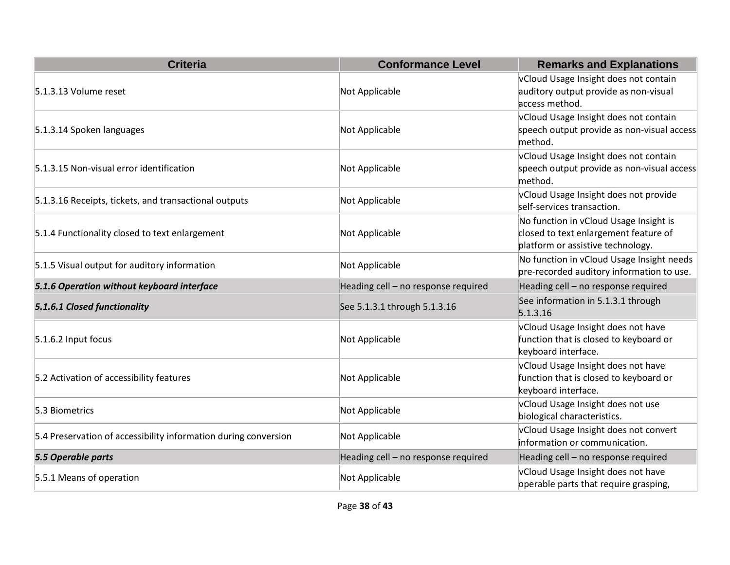| <b>Criteria</b>                                                 | <b>Conformance Level</b>            | <b>Remarks and Explanations</b>                                                                                      |
|-----------------------------------------------------------------|-------------------------------------|----------------------------------------------------------------------------------------------------------------------|
| 5.1.3.13 Volume reset                                           | Not Applicable                      | vCloud Usage Insight does not contain<br>auditory output provide as non-visual<br>access method.                     |
| 5.1.3.14 Spoken languages                                       | Not Applicable                      | vCloud Usage Insight does not contain<br>speech output provide as non-visual access<br>method.                       |
| 5.1.3.15 Non-visual error identification                        | Not Applicable                      | vCloud Usage Insight does not contain<br>speech output provide as non-visual access<br>method.                       |
| 5.1.3.16 Receipts, tickets, and transactional outputs           | Not Applicable                      | vCloud Usage Insight does not provide<br>self-services transaction.                                                  |
| 5.1.4 Functionality closed to text enlargement                  | Not Applicable                      | No function in vCloud Usage Insight is<br>closed to text enlargement feature of<br>platform or assistive technology. |
| 5.1.5 Visual output for auditory information                    | Not Applicable                      | No function in vCloud Usage Insight needs<br>pre-recorded auditory information to use.                               |
| 5.1.6 Operation without keyboard interface                      | Heading cell - no response required | Heading cell - no response required                                                                                  |
| 5.1.6.1 Closed functionality                                    | See 5.1.3.1 through 5.1.3.16        | See information in 5.1.3.1 through<br>5.1.3.16                                                                       |
| 5.1.6.2 Input focus                                             | Not Applicable                      | vCloud Usage Insight does not have<br>function that is closed to keyboard or<br>keyboard interface.                  |
| 5.2 Activation of accessibility features                        | Not Applicable                      | vCloud Usage Insight does not have<br>function that is closed to keyboard or<br>keyboard interface.                  |
| 5.3 Biometrics                                                  | Not Applicable                      | vCloud Usage Insight does not use<br>biological characteristics.                                                     |
| 5.4 Preservation of accessibility information during conversion | Not Applicable                      | vCloud Usage Insight does not convert<br>information or communication.                                               |
| 5.5 Operable parts                                              | Heading cell - no response required | Heading cell - no response required                                                                                  |
| 5.5.1 Means of operation                                        | Not Applicable                      | vCloud Usage Insight does not have<br>operable parts that require grasping,                                          |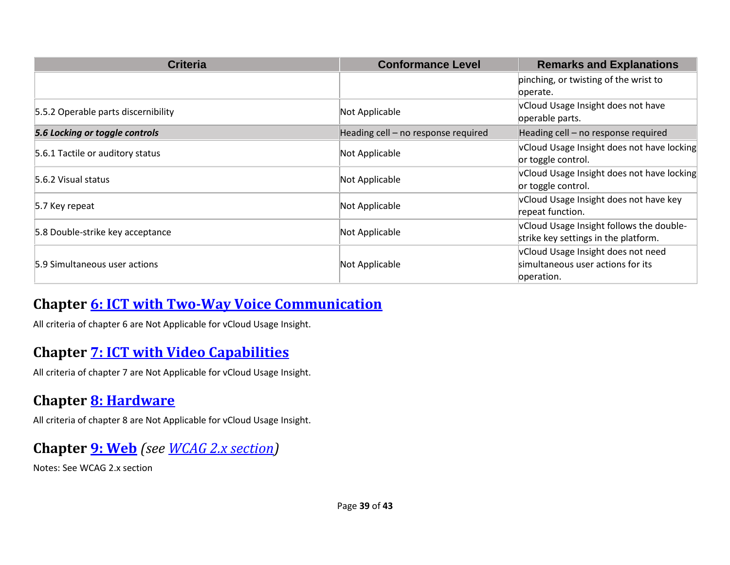| <b>Criteria</b>                     | <b>Conformance Level</b>            | <b>Remarks and Explanations</b>                                                       |
|-------------------------------------|-------------------------------------|---------------------------------------------------------------------------------------|
|                                     |                                     | pinching, or twisting of the wrist to<br>pperate.                                     |
| 5.5.2 Operable parts discernibility | Not Applicable                      | vCloud Usage Insight does not have<br>operable parts.                                 |
| 5.6 Locking or toggle controls      | Heading cell - no response required | Heading cell - no response required                                                   |
| 5.6.1 Tactile or auditory status    | Not Applicable                      | vCloud Usage Insight does not have locking<br>or toggle control.                      |
| 5.6.2 Visual status                 | Not Applicable                      | vCloud Usage Insight does not have locking<br>or toggle control.                      |
| 5.7 Key repeat                      | Not Applicable                      | vCloud Usage Insight does not have key<br>repeat function.                            |
| 5.8 Double-strike key acceptance    | Not Applicable                      | vCloud Usage Insight follows the double-<br>strike key settings in the platform.      |
| 5.9 Simultaneous user actions       | Not Applicable                      | vCloud Usage Insight does not need<br>simultaneous user actions for its<br>operation. |

#### **Chapter [6: ICT with Two-Way Voice Communication](https://www.etsi.org/deliver/etsi_en/301500_301599/301549/02.01.02_60/en_301549v020102p.pdf#page=27)**

All criteria of chapter 6 are Not Applicable for vCloud Usage Insight.

#### **Chapter [7: ICT with Video Capabilities](https://www.etsi.org/deliver/etsi_en/301500_301599/301549/02.01.02_60/en_301549v020102p.pdf#page=30)**

All criteria of chapter 7 are Not Applicable for vCloud Usage Insight.

#### **Chapter [8: Hardware](https://www.etsi.org/deliver/etsi_en/301500_301599/301549/02.01.02_60/en_301549v020102p.pdf#page=32)**

All criteria of chapter 8 are Not Applicable for vCloud Usage Insight.

#### **Chapter [9: Web](https://www.etsi.org/deliver/etsi_en/301500_301599/301549/02.01.02_60/en_301549v020102p.pdf#page=40)** *(see [WCAG 2.x](#page-2-0) section)*

Notes: See WCAG 2.x section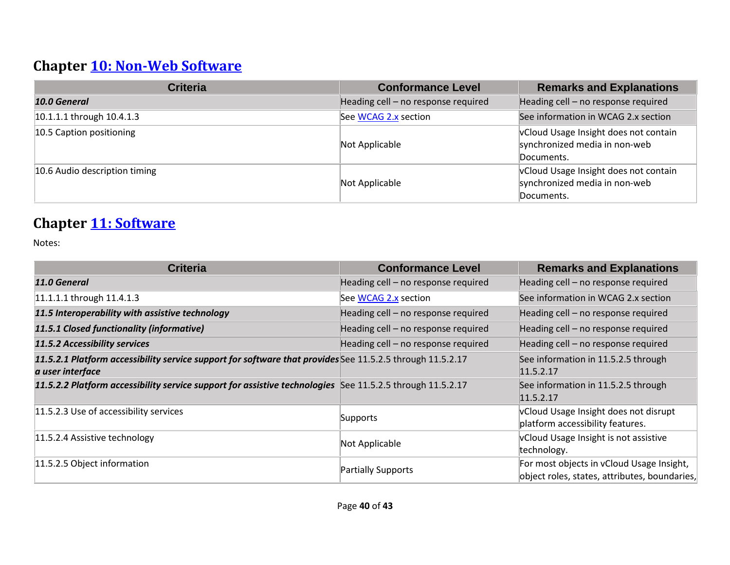# **Chapter [10: Non-Web Software](https://www.etsi.org/deliver/etsi_en/301500_301599/301549/02.01.02_60/en_301549v020102p.pdf#page=47)**

| <b>Criteria</b>               | <b>Conformance Level</b>            | <b>Remarks and Explanations</b>                                                      |
|-------------------------------|-------------------------------------|--------------------------------------------------------------------------------------|
| 10.0 General                  | Heading cell - no response required | Heading cell - no response required                                                  |
| 10.1.1.1 through 10.4.1.3     | See WCAG 2.x section                | See information in WCAG 2.x section                                                  |
| 10.5 Caption positioning      | Not Applicable                      | vCloud Usage Insight does not contain<br>synchronized media in non-web<br>Documents. |
| 10.6 Audio description timing | Not Applicable                      | vCloud Usage Insight does not contain<br>synchronized media in non-web<br>Documents. |

#### **Chapter [11: Software](https://www.etsi.org/deliver/etsi_en/301500_301599/301549/02.01.02_60/en_301549v020102p.pdf#page=57)**

| <b>Criteria</b>                                                                                                               | <b>Conformance Level</b>            | <b>Remarks and Explanations</b>                                                            |
|-------------------------------------------------------------------------------------------------------------------------------|-------------------------------------|--------------------------------------------------------------------------------------------|
| 11.0 General                                                                                                                  | Heading cell - no response required | Heading cell - no response required                                                        |
| 11.1.1.1 through 11.4.1.3                                                                                                     | See WCAG 2.x section                | See information in WCAG 2.x section                                                        |
| 11.5 Interoperability with assistive technology                                                                               | Heading cell - no response required | Heading cell - no response required                                                        |
| 11.5.1 Closed functionality (informative)                                                                                     | Heading cell - no response required | Heading cell - no response required                                                        |
| 11.5.2 Accessibility services                                                                                                 | Heading cell - no response required | Heading cell - no response required                                                        |
| 11.5.2.1 Platform accessibility service support for software that provides See 11.5.2.5 through 11.5.2.17<br>a user interface |                                     | See information in 11.5.2.5 through<br>11.5.2.17                                           |
| 11.5.2.2 Platform accessibility service support for assistive technologies See 11.5.2.5 through 11.5.2.17                     |                                     | See information in 11.5.2.5 through<br>11.5.2.17                                           |
| 11.5.2.3 Use of accessibility services                                                                                        | Supports                            | vCloud Usage Insight does not disrupt<br>platform accessibility features.                  |
| 11.5.2.4 Assistive technology                                                                                                 | Not Applicable                      | vCloud Usage Insight is not assistive<br>technology.                                       |
| 11.5.2.5 Object information                                                                                                   | Partially Supports                  | For most objects in vCloud Usage Insight,<br>object roles, states, attributes, boundaries, |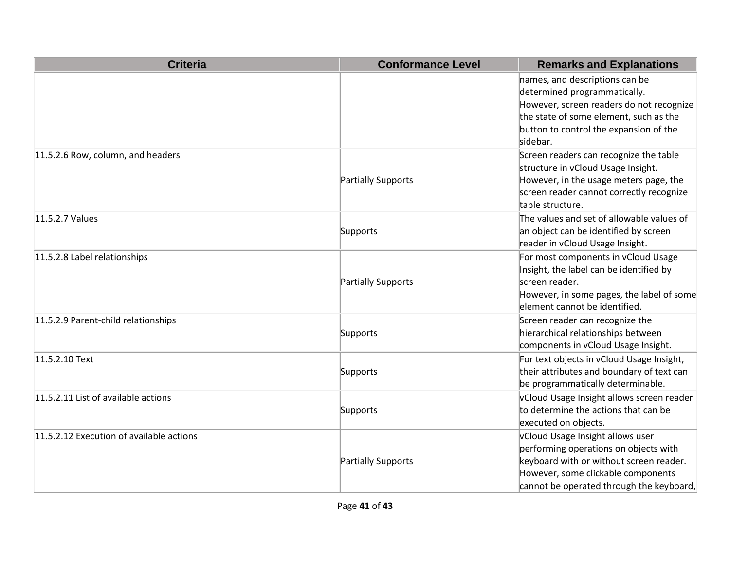| <b>Criteria</b>                          | <b>Conformance Level</b> | <b>Remarks and Explanations</b>                                                                                                                                                                            |
|------------------------------------------|--------------------------|------------------------------------------------------------------------------------------------------------------------------------------------------------------------------------------------------------|
|                                          |                          | names, and descriptions can be<br>determined programmatically.<br>However, screen readers do not recognize<br>the state of some element, such as the<br>button to control the expansion of the<br>sidebar. |
| 11.5.2.6 Row, column, and headers        | Partially Supports       | Screen readers can recognize the table<br>structure in vCloud Usage Insight.<br>However, in the usage meters page, the<br>screen reader cannot correctly recognize<br>table structure.                     |
| 11.5.2.7 Values                          | Supports                 | The values and set of allowable values of<br>an object can be identified by screen<br>reader in vCloud Usage Insight.                                                                                      |
| 11.5.2.8 Label relationships             | Partially Supports       | For most components in vCloud Usage<br>Insight, the label can be identified by<br>screen reader.<br>However, in some pages, the label of some<br>element cannot be identified.                             |
| 11.5.2.9 Parent-child relationships      | Supports                 | Screen reader can recognize the<br>hierarchical relationships between<br>components in vCloud Usage Insight.                                                                                               |
| 11.5.2.10 Text                           | Supports                 | For text objects in vCloud Usage Insight,<br>their attributes and boundary of text can<br>be programmatically determinable.                                                                                |
| 11.5.2.11 List of available actions      | Supports                 | vCloud Usage Insight allows screen reader<br>to determine the actions that can be<br>executed on objects.                                                                                                  |
| 11.5.2.12 Execution of available actions | Partially Supports       | vCloud Usage Insight allows user<br>performing operations on objects with<br>keyboard with or without screen reader.<br>However, some clickable components<br>cannot be operated through the keyboard,     |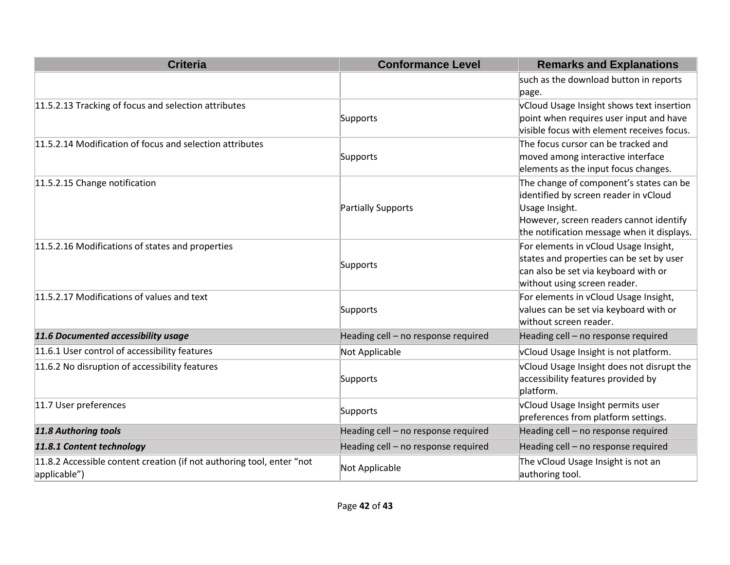| <b>Criteria</b>                                                       | <b>Conformance Level</b>            | <b>Remarks and Explanations</b>                                                  |
|-----------------------------------------------------------------------|-------------------------------------|----------------------------------------------------------------------------------|
|                                                                       |                                     | such as the download button in reports                                           |
|                                                                       |                                     | page.                                                                            |
| 11.5.2.13 Tracking of focus and selection attributes                  |                                     | vCloud Usage Insight shows text insertion                                        |
|                                                                       | Supports                            | point when requires user input and have                                          |
|                                                                       |                                     | visible focus with element receives focus.                                       |
| 11.5.2.14 Modification of focus and selection attributes              |                                     | The focus cursor can be tracked and                                              |
|                                                                       | Supports                            | moved among interactive interface                                                |
|                                                                       |                                     | elements as the input focus changes.                                             |
| 11.5.2.15 Change notification                                         |                                     | The change of component's states can be<br>identified by screen reader in vCloud |
|                                                                       | <b>Partially Supports</b>           | Usage Insight.                                                                   |
|                                                                       |                                     | However, screen readers cannot identify                                          |
|                                                                       |                                     | the notification message when it displays.                                       |
| 11.5.2.16 Modifications of states and properties                      |                                     | For elements in vCloud Usage Insight,                                            |
|                                                                       | Supports                            | states and properties can be set by user                                         |
|                                                                       |                                     | can also be set via keyboard with or                                             |
|                                                                       |                                     | without using screen reader.                                                     |
| 11.5.2.17 Modifications of values and text                            |                                     | For elements in vCloud Usage Insight,                                            |
|                                                                       | Supports                            | values can be set via keyboard with or                                           |
|                                                                       |                                     | without screen reader.                                                           |
| 11.6 Documented accessibility usage                                   | Heading cell - no response required | Heading cell - no response required                                              |
| 11.6.1 User control of accessibility features                         | Not Applicable                      | vCloud Usage Insight is not platform.                                            |
| 11.6.2 No disruption of accessibility features                        |                                     | vCloud Usage Insight does not disrupt the                                        |
|                                                                       | Supports                            | accessibility features provided by                                               |
|                                                                       |                                     | platform.                                                                        |
| 11.7 User preferences                                                 | Supports                            | vCloud Usage Insight permits user<br>preferences from platform settings.         |
| 11.8 Authoring tools                                                  | Heading cell - no response required | Heading cell - no response required                                              |
|                                                                       |                                     |                                                                                  |
| 11.8.1 Content technology                                             | Heading cell - no response required | Heading cell - no response required                                              |
| 11.8.2 Accessible content creation (if not authoring tool, enter "not | Not Applicable                      | The vCloud Usage Insight is not an                                               |
| applicable")                                                          |                                     | authoring tool.                                                                  |